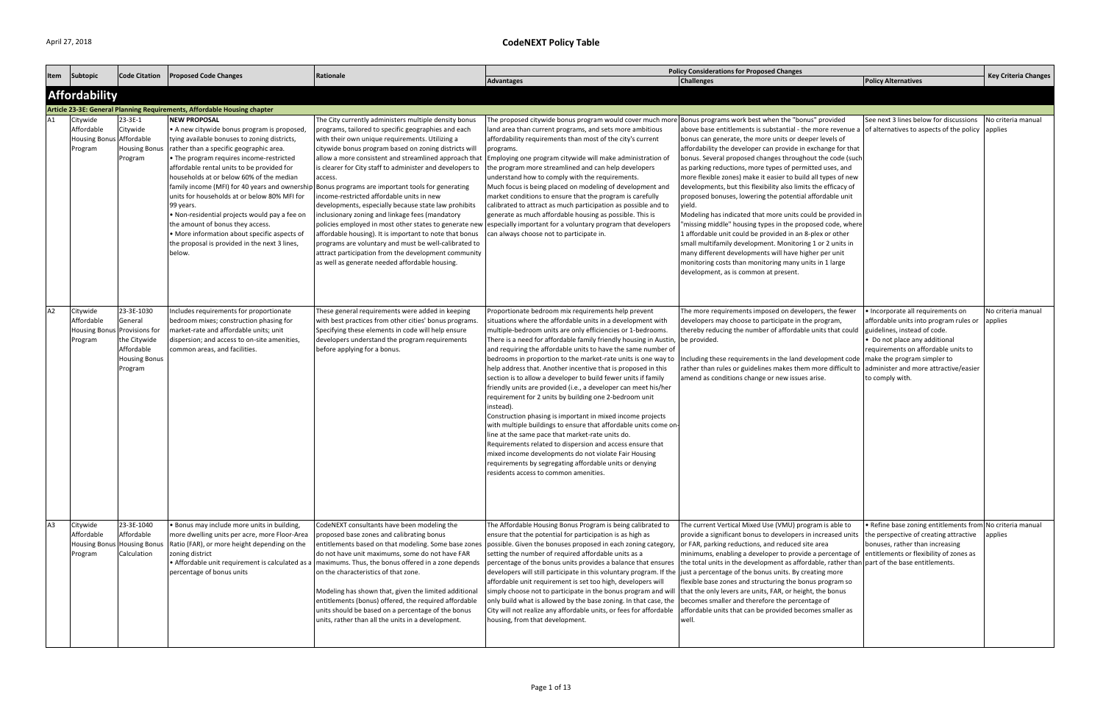| Item           | Subtopic                                                  | Code Citation                                                                                            | <b>Proposed Code Changes</b>                                                                                                                                                                                                                                                                                                                                                                                                                                                                                                                                     | Rationale                                                                                                                                                                                                                                                                                                                                                                                                                                                                                                                                                                                                                                                                                                                                                                                                                                           |                                                                                                                                                                                                                                                                                                                                                                                                                                                                                                                                                                                                                                                                                                                                                                                                                                                                                                                                                                                                                                                                                                  | <b>Policy Considerations for Proposed Changes</b>                                                                                                                                                                                                                                                                                                                                                                                                                                                                                                                                                                                                                                                                                                                                                                                                                                                                                                                                           |                                                                                                                                                                                                        | <b>Key Criteria Changes</b>   |
|----------------|-----------------------------------------------------------|----------------------------------------------------------------------------------------------------------|------------------------------------------------------------------------------------------------------------------------------------------------------------------------------------------------------------------------------------------------------------------------------------------------------------------------------------------------------------------------------------------------------------------------------------------------------------------------------------------------------------------------------------------------------------------|-----------------------------------------------------------------------------------------------------------------------------------------------------------------------------------------------------------------------------------------------------------------------------------------------------------------------------------------------------------------------------------------------------------------------------------------------------------------------------------------------------------------------------------------------------------------------------------------------------------------------------------------------------------------------------------------------------------------------------------------------------------------------------------------------------------------------------------------------------|--------------------------------------------------------------------------------------------------------------------------------------------------------------------------------------------------------------------------------------------------------------------------------------------------------------------------------------------------------------------------------------------------------------------------------------------------------------------------------------------------------------------------------------------------------------------------------------------------------------------------------------------------------------------------------------------------------------------------------------------------------------------------------------------------------------------------------------------------------------------------------------------------------------------------------------------------------------------------------------------------------------------------------------------------------------------------------------------------|---------------------------------------------------------------------------------------------------------------------------------------------------------------------------------------------------------------------------------------------------------------------------------------------------------------------------------------------------------------------------------------------------------------------------------------------------------------------------------------------------------------------------------------------------------------------------------------------------------------------------------------------------------------------------------------------------------------------------------------------------------------------------------------------------------------------------------------------------------------------------------------------------------------------------------------------------------------------------------------------|--------------------------------------------------------------------------------------------------------------------------------------------------------------------------------------------------------|-------------------------------|
|                |                                                           |                                                                                                          |                                                                                                                                                                                                                                                                                                                                                                                                                                                                                                                                                                  |                                                                                                                                                                                                                                                                                                                                                                                                                                                                                                                                                                                                                                                                                                                                                                                                                                                     | <b>Advantages</b>                                                                                                                                                                                                                                                                                                                                                                                                                                                                                                                                                                                                                                                                                                                                                                                                                                                                                                                                                                                                                                                                                | <b>Challenges</b>                                                                                                                                                                                                                                                                                                                                                                                                                                                                                                                                                                                                                                                                                                                                                                                                                                                                                                                                                                           | <b>Policy Alternatives</b>                                                                                                                                                                             |                               |
|                | <b>Affordability</b>                                      |                                                                                                          |                                                                                                                                                                                                                                                                                                                                                                                                                                                                                                                                                                  |                                                                                                                                                                                                                                                                                                                                                                                                                                                                                                                                                                                                                                                                                                                                                                                                                                                     |                                                                                                                                                                                                                                                                                                                                                                                                                                                                                                                                                                                                                                                                                                                                                                                                                                                                                                                                                                                                                                                                                                  |                                                                                                                                                                                                                                                                                                                                                                                                                                                                                                                                                                                                                                                                                                                                                                                                                                                                                                                                                                                             |                                                                                                                                                                                                        |                               |
|                |                                                           |                                                                                                          | Article 23-3E: General Planning Requirements, Affordable Housing chapter                                                                                                                                                                                                                                                                                                                                                                                                                                                                                         |                                                                                                                                                                                                                                                                                                                                                                                                                                                                                                                                                                                                                                                                                                                                                                                                                                                     |                                                                                                                                                                                                                                                                                                                                                                                                                                                                                                                                                                                                                                                                                                                                                                                                                                                                                                                                                                                                                                                                                                  |                                                                                                                                                                                                                                                                                                                                                                                                                                                                                                                                                                                                                                                                                                                                                                                                                                                                                                                                                                                             |                                                                                                                                                                                                        |                               |
| A1             | Citywide<br>Affordable<br><b>Housing Bonus</b><br>Program | 23-3E-1<br>Citywide<br>Affordable<br><b>Housing Bonus</b><br>Program                                     | <b>NEW PROPOSAL</b><br>• A new citywide bonus program is proposed,<br>tying available bonuses to zoning districts,<br>rather than a specific geographic area.<br>• The program requires income-restricted<br>affordable rental units to be provided for<br>households at or below 60% of the median<br>units for households at or below 80% MFI for<br>99 years.<br>. Non-residential projects would pay a fee on<br>the amount of bonus they access.<br>• More information about specific aspects of<br>the proposal is provided in the next 3 lines,<br>below. | The City currently administers multiple density bonus<br>programs, tailored to specific geographies and each<br>with their own unique requirements. Utilizing a<br>citywide bonus program based on zoning districts will<br>allow a more consistent and streamlined approach that<br>is clearer for City staff to administer and developers to<br>access.<br>family income (MFI) for 40 years and ownership Bonus programs are important tools for generating<br>income-restricted affordable units in new<br>developments, especially because state law prohibits<br>inclusionary zoning and linkage fees (mandatory<br>affordable housing). It is important to note that bonus<br>programs are voluntary and must be well-calibrated to<br>attract participation from the development community<br>as well as generate needed affordable housing. | The proposed citywide bonus program would cover much more Bonus programs work best when the "bonus" provided<br>land area than current programs, and sets more ambitious<br>affordability requirements than most of the city's current<br>programs.<br>Employing one program citywide will make administration of<br>the program more streamlined and can help developers<br>understand how to comply with the requirements.<br>Much focus is being placed on modeling of development and<br>market conditions to ensure that the program is carefully<br>calibrated to attract as much participation as possible and to<br>generate as much affordable housing as possible. This is<br>policies employed in most other states to generate new especially important for a voluntary program that developers<br>can always choose not to participate in.                                                                                                                                                                                                                                          | above base entitlements is substantial - the more revenue a of alternatives to aspects of the policy applies<br>bonus can generate, the more units or deeper levels of<br>affordability the developer can provide in exchange for that<br>bonus. Several proposed changes throughout the code (such<br>as parking reductions, more types of permitted uses, and<br>more flexible zones) make it easier to build all types of new<br>developments, but this flexibility also limits the efficacy of<br>proposed bonuses, lowering the potential affordable unit<br>yield.<br>Modeling has indicated that more units could be provided in<br>"missing middle" housing types in the proposed code, where<br>1 affordable unit could be provided in an 8-plex or other<br>small multifamily development. Monitoring 1 or 2 units in<br>many different developments will have higher per unit<br>monitoring costs than monitoring many units in 1 large<br>development, as is common at present. | See next 3 lines below for discussions                                                                                                                                                                 | No criteria manual            |
| A2             | Citywide<br>Affordable<br><b>Housing Bonus</b><br>Program | 23-3E-1030<br>General<br>Provisions for<br>the Citywide<br>Affordable<br><b>Housing Bonus</b><br>Program | Includes requirements for proportionate<br>bedroom mixes; construction phasing for<br>market-rate and affordable units; unit<br>dispersion; and access to on-site amenities,<br>common areas, and facilities.                                                                                                                                                                                                                                                                                                                                                    | These general requirements were added in keeping<br>with best practices from other cities' bonus programs.<br>Specifying these elements in code will help ensure<br>developers understand the program requirements<br>before applying for a bonus.                                                                                                                                                                                                                                                                                                                                                                                                                                                                                                                                                                                                  | Proportionate bedroom mix requirements help prevent<br>situations where the affordable units in a development with<br>multiple-bedroom units are only efficiencies or 1-bedrooms.<br>There is a need for affordable family friendly housing in Austin, be provided.<br>and requiring the affordable units to have the same number of<br>bedrooms in proportion to the market-rate units is one way to<br>help address that. Another incentive that is proposed in this<br>section is to allow a developer to build fewer units if family<br>friendly units are provided (i.e., a developer can meet his/her<br>requirement for 2 units by building one 2-bedroom unit<br>instead)<br>Construction phasing is important in mixed income projects<br>with multiple buildings to ensure that affordable units come on<br>line at the same pace that market-rate units do.<br>Requirements related to dispersion and access ensure that<br>mixed income developments do not violate Fair Housing<br>requirements by segregating affordable units or denying<br>residents access to common amenities. | The more requirements imposed on developers, the fewer<br>developers may choose to participate in the program,<br>thereby reducing the number of affordable units that could<br>Including these requirements in the land development code   make the program simpler to<br>rather than rules or guidelines makes them more difficult to administer and more attractive/easier<br>amend as conditions change or new issues arise.                                                                                                                                                                                                                                                                                                                                                                                                                                                                                                                                                            | • Incorporate all requirements on<br>affordable units into program rules or<br>guidelines, instead of code.<br>• Do not place any additional<br>requirements on affordable units to<br>to comply with. | No criteria manual<br>applies |
| A <sub>3</sub> | Citywide<br>Affordable<br>Program                         | 23-3E-1040<br>Affordable<br>Housing Bonus Housing Bonus<br>Calculation                                   | . Bonus may include more units in building,<br>more dwelling units per acre, more Floor-Area<br>Ratio (FAR), or more height depending on the<br>zoning district<br>percentage of bonus units                                                                                                                                                                                                                                                                                                                                                                     | CodeNEXT consultants have been modeling the<br>proposed base zones and calibrating bonus<br>entitlements based on that modeling. Some base zones<br>do not have unit maximums, some do not have FAR<br>• Affordable unit requirement is calculated as a   maximums. Thus, the bonus offered in a zone depends<br>on the characteristics of that zone.<br>Modeling has shown that, given the limited additional<br>entitlements (bonus) offered, the required affordable<br>units should be based on a percentage of the bonus<br>units, rather than all the units in a development.                                                                                                                                                                                                                                                                 | The Affordable Housing Bonus Program is being calibrated to<br>ensure that the potential for participation is as high as<br>possible. Given the bonuses proposed in each zoning category, or FAR, parking reductions, and reduced site area<br>setting the number of required affordable units as a<br>percentage of the bonus units provides a balance that ensures the total units in the development as affordable, rather than part of the base entitlements.<br>developers will still participate in this voluntary program. If the just a percentage of the bonus units. By creating more<br>affordable unit requirement is set too high, developers will<br>simply choose not to participate in the bonus program and will<br>only build what is allowed by the base zoning. In that case, the<br>City will not realize any affordable units, or fees for affordable<br>housing, from that development.                                                                                                                                                                                   | The current Vertical Mixed Use (VMU) program is able to<br>provide a significant bonus to developers in increased units<br>minimums, enabling a developer to provide a percentage of<br>flexible base zones and structuring the bonus program so<br>that the only levers are units, FAR, or height, the bonus<br>becomes smaller and therefore the percentage of<br>affordable units that can be provided becomes smaller as<br>well.                                                                                                                                                                                                                                                                                                                                                                                                                                                                                                                                                       | • Refine base zoning entitlements from No criteria manual<br>the perspective of creating attractive<br>bonuses, rather than increasing<br>entitlements or flexibility of zones as                      | applies                       |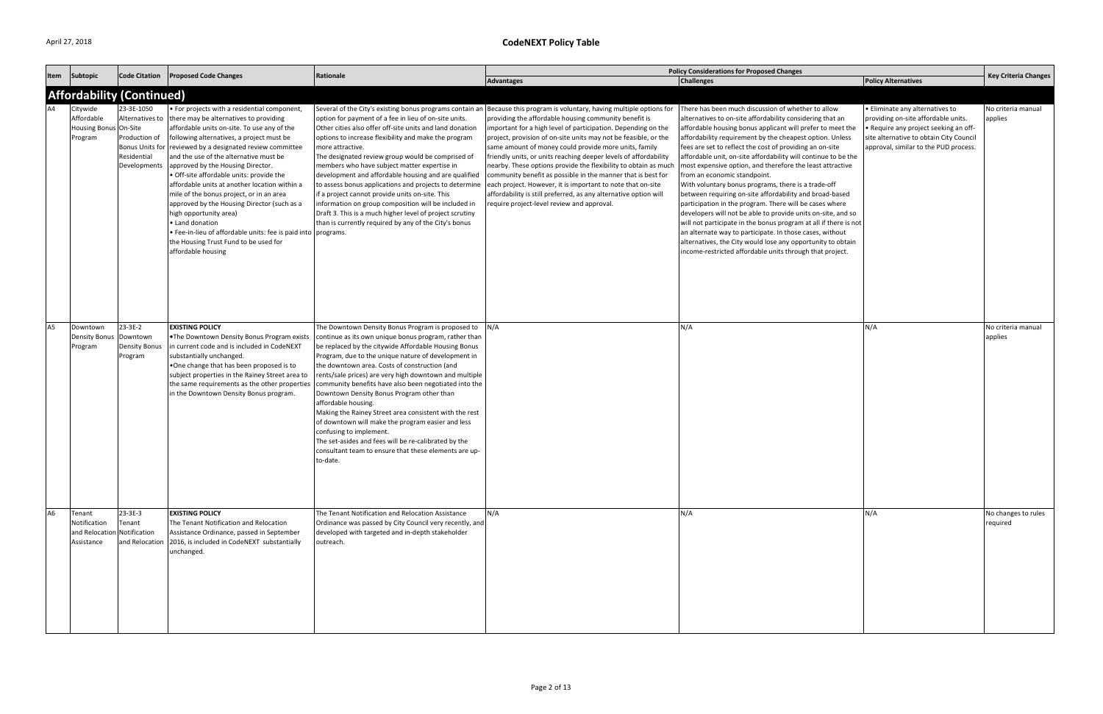| Item           | Subtopic                                                            | <b>Code Citation</b>                                                                     | <b>Proposed Code Changes</b>                                                                                                                                                                                                                                                                                                                                                                                                                                                                                                                                                                                                                                                                        | Rationale                                                                                                                                                                                                                                                                                                                                                                                                                                                                                                                                                                                                                                                                                                                                |                                                                                                                                                                                                                                                                                                                                                                                                                                                                                                                                                                                                                                                                                                                                                                       | <b>Policy Considerations for Proposed Changes</b>                                                                                                                                                                                                                                                                                                                                                                                                                                                                                                                                                                                                                                                                                                                                                                                                                                                                                                                            |                                                                                                                                                                                                     | <b>Key Criteria Changes</b>     |
|----------------|---------------------------------------------------------------------|------------------------------------------------------------------------------------------|-----------------------------------------------------------------------------------------------------------------------------------------------------------------------------------------------------------------------------------------------------------------------------------------------------------------------------------------------------------------------------------------------------------------------------------------------------------------------------------------------------------------------------------------------------------------------------------------------------------------------------------------------------------------------------------------------------|------------------------------------------------------------------------------------------------------------------------------------------------------------------------------------------------------------------------------------------------------------------------------------------------------------------------------------------------------------------------------------------------------------------------------------------------------------------------------------------------------------------------------------------------------------------------------------------------------------------------------------------------------------------------------------------------------------------------------------------|-----------------------------------------------------------------------------------------------------------------------------------------------------------------------------------------------------------------------------------------------------------------------------------------------------------------------------------------------------------------------------------------------------------------------------------------------------------------------------------------------------------------------------------------------------------------------------------------------------------------------------------------------------------------------------------------------------------------------------------------------------------------------|------------------------------------------------------------------------------------------------------------------------------------------------------------------------------------------------------------------------------------------------------------------------------------------------------------------------------------------------------------------------------------------------------------------------------------------------------------------------------------------------------------------------------------------------------------------------------------------------------------------------------------------------------------------------------------------------------------------------------------------------------------------------------------------------------------------------------------------------------------------------------------------------------------------------------------------------------------------------------|-----------------------------------------------------------------------------------------------------------------------------------------------------------------------------------------------------|---------------------------------|
|                |                                                                     |                                                                                          |                                                                                                                                                                                                                                                                                                                                                                                                                                                                                                                                                                                                                                                                                                     |                                                                                                                                                                                                                                                                                                                                                                                                                                                                                                                                                                                                                                                                                                                                          | <b>Advantages</b>                                                                                                                                                                                                                                                                                                                                                                                                                                                                                                                                                                                                                                                                                                                                                     | <b>Challenges</b>                                                                                                                                                                                                                                                                                                                                                                                                                                                                                                                                                                                                                                                                                                                                                                                                                                                                                                                                                            | <b>Policy Alternatives</b>                                                                                                                                                                          |                                 |
|                |                                                                     | <b>Affordability (Continued)</b>                                                         |                                                                                                                                                                                                                                                                                                                                                                                                                                                                                                                                                                                                                                                                                                     |                                                                                                                                                                                                                                                                                                                                                                                                                                                                                                                                                                                                                                                                                                                                          |                                                                                                                                                                                                                                                                                                                                                                                                                                                                                                                                                                                                                                                                                                                                                                       |                                                                                                                                                                                                                                                                                                                                                                                                                                                                                                                                                                                                                                                                                                                                                                                                                                                                                                                                                                              |                                                                                                                                                                                                     |                                 |
|                | Citywide<br>Affordable<br><b>Housing Bonus</b><br>Program           | 23-3E-1050<br>Alternatives to<br>On-Site<br>Production of<br>Residential<br>Developments | • For projects with a residential component,<br>there may be alternatives to providing<br>affordable units on-site. To use any of the<br>following alternatives, a project must be<br>Bonus Units for reviewed by a designated review committee<br>and the use of the alternative must be<br>approved by the Housing Director.<br>· Off-site affordable units: provide the<br>affordable units at another location within a<br>mile of the bonus project, or in an area<br>approved by the Housing Director (such as a<br>high opportunity area)<br>• Land donation<br>• Fee-in-lieu of affordable units: fee is paid into programs.<br>the Housing Trust Fund to be used for<br>affordable housing | option for payment of a fee in lieu of on-site units.<br>Other cities also offer off-site units and land donation<br>options to increase flexibility and make the program<br>more attractive.<br>The designated review group would be comprised of<br>members who have subject matter expertise in<br>development and affordable housing and are qualified<br>to assess bonus applications and projects to determine<br>if a project cannot provide units on-site. This<br>information on group composition will be included in<br>Draft 3. This is a much higher level of project scrutiny<br>than is currently required by any of the City's bonus                                                                                     | Several of the City's existing bonus programs contain an Because this program is voluntary, having multiple options for<br>providing the affordable housing community benefit is<br>important for a high level of participation. Depending on the<br>project, provision of on-site units may not be feasible, or the<br>same amount of money could provide more units, family<br>friendly units, or units reaching deeper levels of affordability<br>nearby. These options provide the flexibility to obtain as much<br>community benefit as possible in the manner that is best for<br>each project. However, it is important to note that on-site<br>affordability is still preferred, as any alternative option will<br>require project-level review and approval. | There has been much discussion of whether to allow<br>alternatives to on-site affordability considering that an<br>affordable housing bonus applicant will prefer to meet the<br>affordability requirement by the cheapest option. Unless<br>fees are set to reflect the cost of providing an on-site<br>affordable unit, on-site affordability will continue to be the<br>most expensive option, and therefore the least attractive<br>from an economic standpoint.<br>With voluntary bonus programs, there is a trade-off<br>between requiring on-site affordability and broad-based<br>participation in the program. There will be cases where<br>developers will not be able to provide units on-site, and so<br>will not participate in the bonus program at all if there is not<br>an alternate way to participate. In those cases, without<br>alternatives, the City would lose any opportunity to obtain<br>income-restricted affordable units through that project. | • Eliminate any alternatives to<br>providing on-site affordable units.<br>• Require any project seeking an off-<br>site alternative to obtain City Council<br>approval, similar to the PUD process. | No criteria manual<br>applies   |
| A5             | Downtown<br><b>Density Bonus</b><br>Program                         | 23-3E-2<br>Downtown<br><b>Density Bonus</b><br>Program                                   | <b>EXISTING POLICY</b><br>. The Downtown Density Bonus Program exists<br>in current code and is included in CodeNEXT<br>substantially unchanged.<br>. One change that has been proposed is to<br>subject properties in the Rainey Street area to<br>the same requirements as the other properties<br>in the Downtown Density Bonus program.                                                                                                                                                                                                                                                                                                                                                         | The Downtown Density Bonus Program is proposed to<br>continue as its own unique bonus program, rather than<br>be replaced by the citywide Affordable Housing Bonus<br>Program, due to the unique nature of development in<br>the downtown area. Costs of construction (and<br>rents/sale prices) are very high downtown and multiple<br>community benefits have also been negotiated into the<br>Downtown Density Bonus Program other than<br>affordable housing.<br>Making the Rainey Street area consistent with the rest<br>of downtown will make the program easier and less<br>confusing to implement.<br>The set-asides and fees will be re-calibrated by the<br>consultant team to ensure that these elements are up-<br>to-date. | N/A                                                                                                                                                                                                                                                                                                                                                                                                                                                                                                                                                                                                                                                                                                                                                                   | N/A                                                                                                                                                                                                                                                                                                                                                                                                                                                                                                                                                                                                                                                                                                                                                                                                                                                                                                                                                                          | N/A                                                                                                                                                                                                 | No criteria manual<br>applies   |
| A <sub>6</sub> | Tenant<br>Notification<br>and Relocation Notification<br>Assistance | $23 - 3E - 3$<br>Tenant                                                                  | <b>EXISTING POLICY</b><br>The Tenant Notification and Relocation<br>Assistance Ordinance, passed in September<br>and Relocation 2016, is included in CodeNEXT substantially<br>unchanged.                                                                                                                                                                                                                                                                                                                                                                                                                                                                                                           | The Tenant Notification and Relocation Assistance<br>Ordinance was passed by City Council very recently, and<br>developed with targeted and in-depth stakeholder<br>outreach.                                                                                                                                                                                                                                                                                                                                                                                                                                                                                                                                                            | N/A                                                                                                                                                                                                                                                                                                                                                                                                                                                                                                                                                                                                                                                                                                                                                                   | N/A                                                                                                                                                                                                                                                                                                                                                                                                                                                                                                                                                                                                                                                                                                                                                                                                                                                                                                                                                                          | N/A                                                                                                                                                                                                 | No changes to rules<br>required |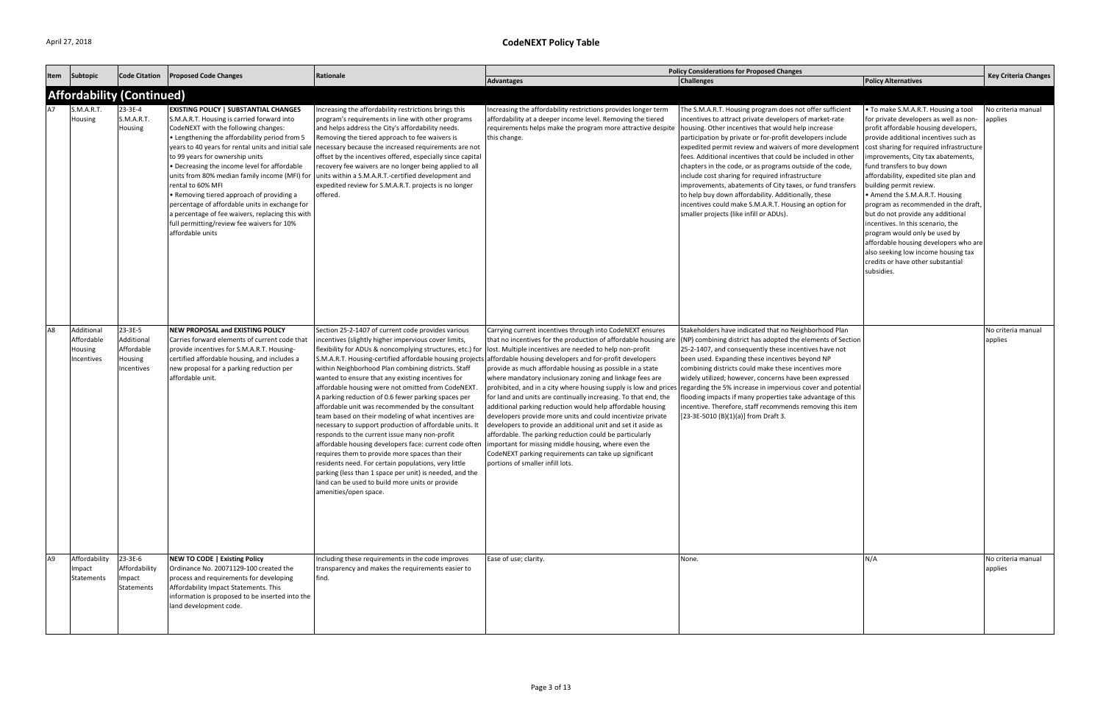|                |                                                   |                                                              |                                                                                                                                                                                                                                                                                                                                                                                                                                                                                                                                                                                                                          | Rationale                                                                                                                                                                                                                                                                                                                                                                                                                                                                                                                                                                                                                                                                                                                                                                                                                                                                                                                                                                                        |                                                                                                                                                                                                                                                                                                                                                                                                                                                                                                                                                                                                                                                                                                                                                                                                                                                                                                                                                                                                                                                         | <b>Policy Considerations for Proposed Changes</b>                                                                                                                                                                                                                                                                                                                                                                                                                                                                                                                                                                                                   |                                                                                                                                                                                                                                                                                                                                                                                                                                                                                                                                                                                                                                                                              |                               |
|----------------|---------------------------------------------------|--------------------------------------------------------------|--------------------------------------------------------------------------------------------------------------------------------------------------------------------------------------------------------------------------------------------------------------------------------------------------------------------------------------------------------------------------------------------------------------------------------------------------------------------------------------------------------------------------------------------------------------------------------------------------------------------------|--------------------------------------------------------------------------------------------------------------------------------------------------------------------------------------------------------------------------------------------------------------------------------------------------------------------------------------------------------------------------------------------------------------------------------------------------------------------------------------------------------------------------------------------------------------------------------------------------------------------------------------------------------------------------------------------------------------------------------------------------------------------------------------------------------------------------------------------------------------------------------------------------------------------------------------------------------------------------------------------------|---------------------------------------------------------------------------------------------------------------------------------------------------------------------------------------------------------------------------------------------------------------------------------------------------------------------------------------------------------------------------------------------------------------------------------------------------------------------------------------------------------------------------------------------------------------------------------------------------------------------------------------------------------------------------------------------------------------------------------------------------------------------------------------------------------------------------------------------------------------------------------------------------------------------------------------------------------------------------------------------------------------------------------------------------------|-----------------------------------------------------------------------------------------------------------------------------------------------------------------------------------------------------------------------------------------------------------------------------------------------------------------------------------------------------------------------------------------------------------------------------------------------------------------------------------------------------------------------------------------------------------------------------------------------------------------------------------------------------|------------------------------------------------------------------------------------------------------------------------------------------------------------------------------------------------------------------------------------------------------------------------------------------------------------------------------------------------------------------------------------------------------------------------------------------------------------------------------------------------------------------------------------------------------------------------------------------------------------------------------------------------------------------------------|-------------------------------|
| Item           | Subtopic                                          | <b>Code Citation</b>                                         | <b>Proposed Code Changes</b>                                                                                                                                                                                                                                                                                                                                                                                                                                                                                                                                                                                             |                                                                                                                                                                                                                                                                                                                                                                                                                                                                                                                                                                                                                                                                                                                                                                                                                                                                                                                                                                                                  | <b>Advantages</b>                                                                                                                                                                                                                                                                                                                                                                                                                                                                                                                                                                                                                                                                                                                                                                                                                                                                                                                                                                                                                                       | Challenges                                                                                                                                                                                                                                                                                                                                                                                                                                                                                                                                                                                                                                          | <b>Policy Alternatives</b>                                                                                                                                                                                                                                                                                                                                                                                                                                                                                                                                                                                                                                                   | <b>Key Criteria Changes</b>   |
|                |                                                   | <b>Affordability (Continued)</b>                             |                                                                                                                                                                                                                                                                                                                                                                                                                                                                                                                                                                                                                          |                                                                                                                                                                                                                                                                                                                                                                                                                                                                                                                                                                                                                                                                                                                                                                                                                                                                                                                                                                                                  |                                                                                                                                                                                                                                                                                                                                                                                                                                                                                                                                                                                                                                                                                                                                                                                                                                                                                                                                                                                                                                                         |                                                                                                                                                                                                                                                                                                                                                                                                                                                                                                                                                                                                                                                     |                                                                                                                                                                                                                                                                                                                                                                                                                                                                                                                                                                                                                                                                              |                               |
|                | S.M.A.R.T.<br>Housing                             | 23-3E-4<br>S.M.A.R.T.<br>Housing                             | <b>EXISTING POLICY   SUBSTANTIAL CHANGES</b><br>S.M.A.R.T. Housing is carried forward into<br>CodeNEXT with the following changes:<br>• Lengthening the affordability period from 5<br>years to 40 years for rental units and initial sal-<br>to 99 years for ownership units<br>• Decreasing the income level for affordable<br>units from 80% median family income (MFI) for<br>rental to 60% MFI<br>• Removing tiered approach of providing a<br>percentage of affordable units in exchange for<br>a percentage of fee waivers, replacing this with<br>full permitting/review fee waivers for 10%<br>affordable units | Increasing the affordability restrictions brings this<br>program's requirements in line with other programs<br>and helps address the City's affordability needs.<br>Removing the tiered approach to fee waivers is<br>necessary because the increased requirements are not<br>offset by the incentives offered, especially since capital<br>recovery fee waivers are no longer being applied to all<br>units within a S.M.A.R.T.-certified development and<br>expedited review for S.M.A.R.T. projects is no longer<br>offered.                                                                                                                                                                                                                                                                                                                                                                                                                                                                  | Increasing the affordability restrictions provides longer term<br>affordability at a deeper income level. Removing the tiered<br>requirements helps make the program more attractive despite   housing. Other incentives that would help increase<br>this change.                                                                                                                                                                                                                                                                                                                                                                                                                                                                                                                                                                                                                                                                                                                                                                                       | The S.M.A.R.T. Housing program does not offer sufficient<br>incentives to attract private developers of market-rate<br>participation by private or for-profit developers include<br>expedited permit review and waivers of more developmer<br>fees. Additional incentives that could be included in other<br>chapters in the code, or as programs outside of the code,<br>include cost sharing for required infrastructure<br>improvements, abatements of City taxes, or fund transfers<br>to help buy down affordability. Additionally, these<br>incentives could make S.M.A.R.T. Housing an option for<br>smaller projects (like infill or ADUs). | • To make S.M.A.R.T. Housing a tool<br>for private developers as well as non-<br>profit affordable housing developers,<br>provide additional incentives such as<br>cost sharing for required infrastructure<br>improvements, City tax abatements,<br>fund transfers to buy down<br>affordability, expedited site plan and<br>building permit review.<br>• Amend the S.M.A.R.T. Housing<br>program as recommended in the draft,<br>but do not provide any additional<br>incentives. In this scenario, the<br>program would only be used by<br>affordable housing developers who are<br>also seeking low income housing tax<br>credits or have other substantial<br>subsidies. | No criteria manual<br>applies |
| A <sub>8</sub> | Additional<br>Affordable<br>Housing<br>Incentives | 23-3E-5<br>Additional<br>Affordable<br>Housing<br>Incentives | <b>NEW PROPOSAL and EXISTING POLICY</b><br>Carries forward elements of current code that<br>provide incentives for S.M.A.R.T. Housing-<br>certified affordable housing, and includes a<br>new proposal for a parking reduction per<br>affordable unit.                                                                                                                                                                                                                                                                                                                                                                   | Section 25-2-1407 of current code provides various<br>incentives (slightly higher impervious cover limits,<br>flexibility for ADUs & noncomplying structures, etc.) for<br>S.M.A.R.T. Housing-certified affordable housing projects<br>within Neighborhood Plan combining districts. Staff<br>wanted to ensure that any existing incentives for<br>affordable housing were not omitted from CodeNEXT.<br>A parking reduction of 0.6 fewer parking spaces per<br>affordable unit was recommended by the consultant<br>team based on their modeling of what incentives are<br>necessary to support production of affordable units. It<br>responds to the current issue many non-profit<br>affordable housing developers face: current code often<br>requires them to provide more spaces than their<br>residents need. For certain populations, very little<br>parking (less than 1 space per unit) is needed, and the<br>land can be used to build more units or provide<br>amenities/open space. | Carrying current incentives through into CodeNEXT ensures<br>that no incentives for the production of affordable housing are (NP) combining district has adopted the elements of Section<br>lost. Multiple incentives are needed to help non-profit<br>affordable housing developers and for-profit developers<br>provide as much affordable housing as possible in a state<br>where mandatory inclusionary zoning and linkage fees are<br>prohibited, and in a city where housing supply is low and prices regarding the 5% increase in impervious cover and potential<br>for land and units are continually increasing. To that end, the<br>additional parking reduction would help affordable housing<br>developers provide more units and could incentivize private<br>developers to provide an additional unit and set it aside as<br>affordable. The parking reduction could be particularly<br>important for missing middle housing, where even the<br>CodeNEXT parking requirements can take up significant<br>portions of smaller infill lots. | Stakeholders have indicated that no Neighborhood Plan<br>25-2-1407, and consequently these incentives have not<br>been used. Expanding these incentives beyond NP<br>combining districts could make these incentives more<br>widely utilized; however, concerns have been expressed<br>flooding impacts if many properties take advantage of this<br>incentive. Therefore, staff recommends removing this item<br>[23-3E-5010 (B)(1)(a)] from Draft 3.                                                                                                                                                                                              |                                                                                                                                                                                                                                                                                                                                                                                                                                                                                                                                                                                                                                                                              | No criteria manual<br>applies |
| A <sub>9</sub> | Affordability<br>Impact<br>Statements             | 23-3E-6<br>Affordability<br>Impact<br>Statements             | NEW TO CODE   Existing Policy<br>Ordinance No. 20071129-100 created the<br>process and requirements for developing<br>Affordability Impact Statements. This<br>information is proposed to be inserted into the<br>land development code.                                                                                                                                                                                                                                                                                                                                                                                 | Including these requirements in the code improves<br>transparency and makes the requirements easier to<br>find.                                                                                                                                                                                                                                                                                                                                                                                                                                                                                                                                                                                                                                                                                                                                                                                                                                                                                  | Ease of use; clarity.                                                                                                                                                                                                                                                                                                                                                                                                                                                                                                                                                                                                                                                                                                                                                                                                                                                                                                                                                                                                                                   | None.                                                                                                                                                                                                                                                                                                                                                                                                                                                                                                                                                                                                                                               | N/A                                                                                                                                                                                                                                                                                                                                                                                                                                                                                                                                                                                                                                                                          | No criteria manual<br>applies |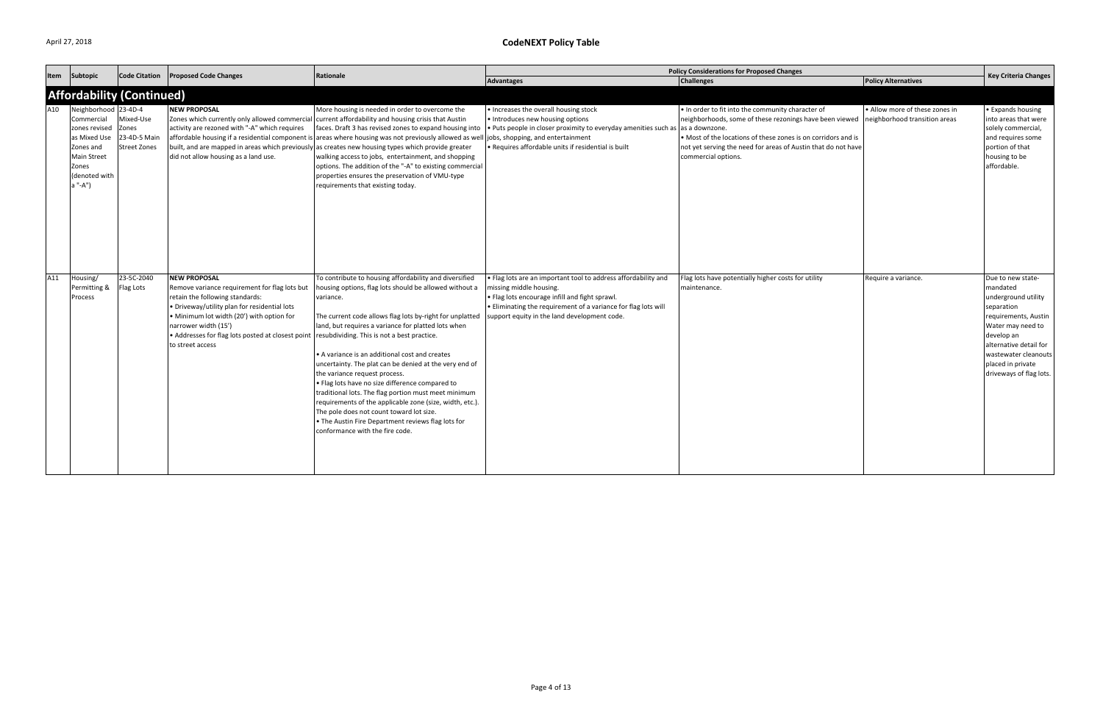| Item | Subtopic                                                                                                                                    | <b>Code Citation</b>                                      | <b>Proposed Code Changes</b>                                                                                                                                                                                                                                                                          | Rationale                                                                                                                                                                                                                                                                                                                                                                                                                                                                                                                                                                                                                                                                                                                                                | <b>Policy Considerations for Proposed Changes</b>                                                                                                                                                                                                             |                                                                                                                                                                                                                                                                       |                                                                 | <b>Key Criteria Changes</b>                                                                                                                                                                                                     |
|------|---------------------------------------------------------------------------------------------------------------------------------------------|-----------------------------------------------------------|-------------------------------------------------------------------------------------------------------------------------------------------------------------------------------------------------------------------------------------------------------------------------------------------------------|----------------------------------------------------------------------------------------------------------------------------------------------------------------------------------------------------------------------------------------------------------------------------------------------------------------------------------------------------------------------------------------------------------------------------------------------------------------------------------------------------------------------------------------------------------------------------------------------------------------------------------------------------------------------------------------------------------------------------------------------------------|---------------------------------------------------------------------------------------------------------------------------------------------------------------------------------------------------------------------------------------------------------------|-----------------------------------------------------------------------------------------------------------------------------------------------------------------------------------------------------------------------------------------------------------------------|-----------------------------------------------------------------|---------------------------------------------------------------------------------------------------------------------------------------------------------------------------------------------------------------------------------|
|      |                                                                                                                                             |                                                           |                                                                                                                                                                                                                                                                                                       |                                                                                                                                                                                                                                                                                                                                                                                                                                                                                                                                                                                                                                                                                                                                                          | <b>Advantages</b>                                                                                                                                                                                                                                             | <b>Challenges</b>                                                                                                                                                                                                                                                     | <b>Policy Alternatives</b>                                      |                                                                                                                                                                                                                                 |
|      |                                                                                                                                             | <b>Affordability (Continued)</b>                          |                                                                                                                                                                                                                                                                                                       |                                                                                                                                                                                                                                                                                                                                                                                                                                                                                                                                                                                                                                                                                                                                                          |                                                                                                                                                                                                                                                               |                                                                                                                                                                                                                                                                       |                                                                 |                                                                                                                                                                                                                                 |
| A10  | Neighborhood 23-4D-4<br>Commercial<br>zones revised<br>as Mixed Use<br>Zones and<br><b>Main Street</b><br>Zones<br>(denoted with<br>a "-A") | Mixed-Use<br>Zones<br>23-4D-5 Main<br><b>Street Zones</b> | <b>NEW PROPOSAL</b><br>activity are rezoned with "-A" which requires<br>did not allow housing as a land use.                                                                                                                                                                                          | More housing is needed in order to overcome the<br>Zones which currently only allowed commercial current affordability and housing crisis that Austin<br>faces. Draft 3 has revised zones to expand housing into<br>affordable housing if a residential component is areas where housing was not previously allowed as well jobs, shopping, and entertainment<br>built, and are mapped in areas which previously as creates new housing types which provide greater<br>walking access to jobs, entertainment, and shopping<br>options. The addition of the "-A" to existing commercial<br>properties ensures the preservation of VMU-type<br>requirements that existing today.                                                                           | • Increases the overall housing stock<br>• Introduces new housing options<br>. Puts people in closer proximity to everyday amenities such as as a downzone.<br>. Requires affordable units if residential is built                                            | . In order to fit into the community character of<br>neighborhoods, some of these rezonings have been viewed<br>• Most of the locations of these zones is on corridors and is<br>not yet serving the need for areas of Austin that do not have<br>commercial options. | • Allow more of these zones in<br>neighborhood transition areas | • Expands housing<br>into areas that were<br>solely commercial,<br>and requires some<br>portion of that<br>housing to be<br>affordable.                                                                                         |
| A11  | Housing/<br>Permitting &<br>Process                                                                                                         | 23-5C-2040<br>Flag Lots                                   | <b>NEW PROPOSAL</b><br>Remove variance requirement for flag lots but<br>retain the following standards:<br>. Driveway/utility plan for residential lots<br>• Minimum lot width (20') with option for<br>narrower width (15')<br>• Addresses for flag lots posted at closest point<br>to street access | To contribute to housing affordability and diversified<br>housing options, flag lots should be allowed without a<br>variance.<br>The current code allows flag lots by-right for unplatted<br>land, but requires a variance for platted lots when<br>resubdividing. This is not a best practice.<br>• A variance is an additional cost and creates<br>uncertainty. The plat can be denied at the very end of<br>the variance request process.<br>. Flag lots have no size difference compared to<br>traditional lots. The flag portion must meet minimum<br>requirements of the applicable zone (size, width, etc.).<br>The pole does not count toward lot size.<br>. The Austin Fire Department reviews flag lots for<br>conformance with the fire code. | . Flag lots are an important tool to address affordability and<br>missing middle housing.<br>· Flag lots encourage infill and fight sprawl.<br>• Eliminating the requirement of a variance for flag lots will<br>support equity in the land development code. | Flag lots have potentially higher costs for utility<br>maintenance.                                                                                                                                                                                                   | Require a variance.                                             | Due to new state-<br>mandated<br>underground utility<br>separation<br>requirements, Austin<br>Water may need to<br>develop an<br>alternative detail for<br>wastewater cleanouts<br>placed in private<br>driveways of flag lots. |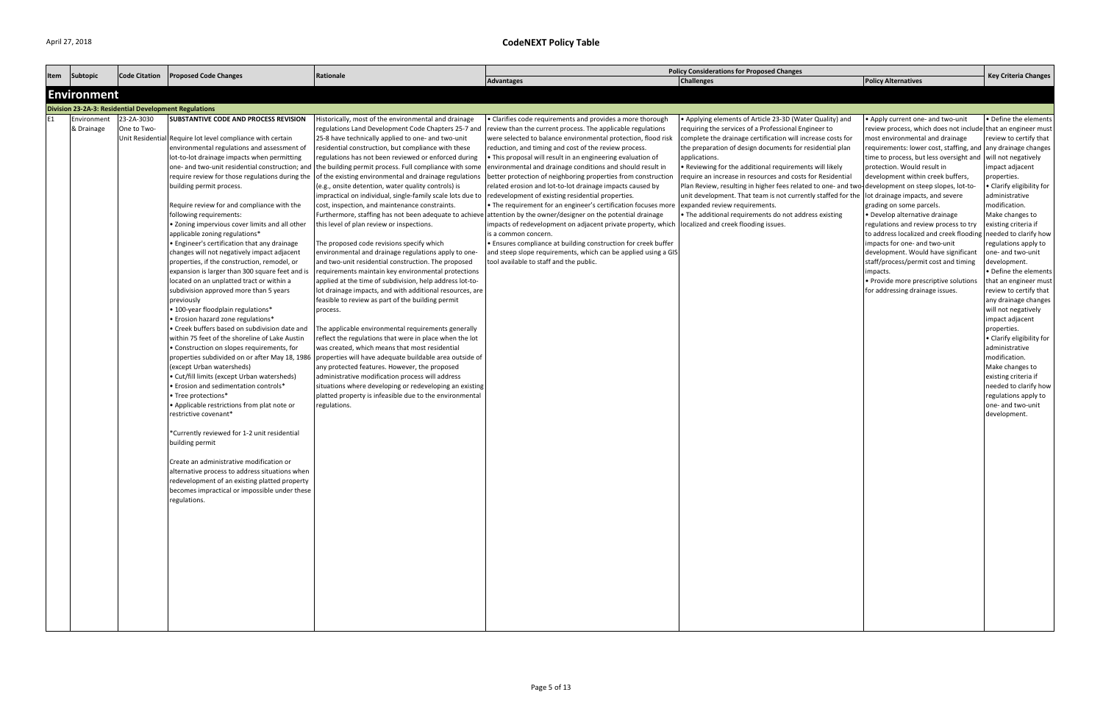| Item | Subtopic           | <b>Code Citation</b>                                         | <b>Proposed Code Changes</b>                                                        | Rationale                                                                                                                                                        |                                                                                                                           | <b>Policy Considerations for Proposed Changes</b>                                                  |                                                                        | <b>Key Criteria Changes</b>            |
|------|--------------------|--------------------------------------------------------------|-------------------------------------------------------------------------------------|------------------------------------------------------------------------------------------------------------------------------------------------------------------|---------------------------------------------------------------------------------------------------------------------------|----------------------------------------------------------------------------------------------------|------------------------------------------------------------------------|----------------------------------------|
|      |                    |                                                              |                                                                                     |                                                                                                                                                                  | <b>Advantages</b>                                                                                                         | <b>Challenges</b>                                                                                  | <b>Policy Alternatives</b>                                             |                                        |
|      | <b>Environment</b> |                                                              |                                                                                     |                                                                                                                                                                  |                                                                                                                           |                                                                                                    |                                                                        |                                        |
|      |                    | <b>Division 23-2A-3: Residential Development Regulations</b> |                                                                                     |                                                                                                                                                                  |                                                                                                                           |                                                                                                    |                                                                        |                                        |
| E1   | Environment        | 23-2A-3030                                                   | <b>SUBSTANTIVE CODE AND PROCESS REVISION</b>                                        | Historically, most of the environmental and drainage                                                                                                             | • Clarifies code requirements and provides a more thorough                                                                | • Applying elements of Article 23-3D (Water Quality) and                                           | • Apply current one- and two-unit                                      | • Define the elements                  |
|      | & Drainage         | One to Two-                                                  |                                                                                     | regulations Land Development Code Chapters 25-7 and                                                                                                              | review than the current process. The applicable regulations                                                               | requiring the services of a Professional Engineer to                                               | review process, which does not include that an engineer must           |                                        |
|      |                    |                                                              | Unit Residential Require lot level compliance with certain                          | 25-8 have technically applied to one- and two-unit                                                                                                               | were selected to balance environmental protection, flood risk                                                             | complete the drainage certification will increase costs for                                        | most environmental and drainage                                        | review to certify that                 |
|      |                    |                                                              | environmental regulations and assessment of                                         | residential construction, but compliance with these                                                                                                              | reduction, and timing and cost of the review process.                                                                     | the preparation of design documents for residential plan                                           | requirements: lower cost, staffing, and any drainage changes           |                                        |
|      |                    |                                                              | lot-to-lot drainage impacts when permitting                                         | regulations has not been reviewed or enforced during<br>one- and two-unit residential construction; and   the building permit process. Full compliance with some | . This proposal will result in an engineering evaluation of<br>environmental and drainage conditions and should result in | applications.<br>• Reviewing for the additional requirements will likely                           | time to process, but less oversight and<br>protection. Would result in | will not negatively<br>impact adjacent |
|      |                    |                                                              | require review for those regulations during the                                     | of the existing environmental and drainage regulations                                                                                                           | better protection of neighboring properties from construction                                                             | require an increase in resources and costs for Residential                                         | development within creek buffers,                                      | properties.                            |
|      |                    |                                                              | building permit process.                                                            | (e.g., onsite detention, water quality controls) is                                                                                                              | related erosion and lot-to-lot drainage impacts caused by                                                                 | Plan Review, resulting in higher fees related to one- and two-development on steep slopes, lot-to- |                                                                        | • Clarify eligibility for              |
|      |                    |                                                              |                                                                                     | impractical on individual, single-family scale lots due to                                                                                                       | redevelopment of existing residential properties.                                                                         | unit development. That team is not currently staffed for the lot drainage impacts, and severe      |                                                                        | administrative                         |
|      |                    |                                                              | Require review for and compliance with the                                          | cost, inspection, and maintenance constraints.                                                                                                                   | • The requirement for an engineer's certification focuses more   expanded review requirements.                            |                                                                                                    | grading on some parcels.                                               | modification.                          |
|      |                    |                                                              | following requirements:                                                             | Furthermore, staffing has not been adequate to achieve                                                                                                           | attention by the owner/designer on the potential drainage                                                                 | • The additional requirements do not address existing                                              | • Develop alternative drainage                                         | Make changes to                        |
|      |                    |                                                              | . Zoning impervious cover limits and all other                                      | this level of plan review or inspections.                                                                                                                        | impacts of redevelopment on adjacent private property, which localized and creek flooding issues.                         |                                                                                                    | regulations and review process to try                                  | existing criteria if                   |
|      |                    |                                                              | applicable zoning regulations*                                                      |                                                                                                                                                                  | is a common concern.                                                                                                      |                                                                                                    | to address localized and creek flooding needed to clarify how          |                                        |
|      |                    |                                                              | • Engineer's certification that any drainage                                        | The proposed code revisions specify which                                                                                                                        | • Ensures compliance at building construction for creek buffer                                                            |                                                                                                    | impacts for one- and two-unit                                          | regulations apply to                   |
|      |                    |                                                              | changes will not negatively impact adjacent                                         | environmental and drainage regulations apply to one-                                                                                                             | and steep slope requirements, which can be applied using a GIS                                                            |                                                                                                    | development. Would have significant                                    | one- and two-unit                      |
|      |                    |                                                              | properties, if the construction, remodel, or                                        | and two-unit residential construction. The proposed                                                                                                              | tool available to staff and the public.                                                                                   |                                                                                                    | staff/process/permit cost and timing                                   | development.                           |
|      |                    |                                                              | expansion is larger than 300 square feet and i                                      | requirements maintain key environmental protections                                                                                                              |                                                                                                                           |                                                                                                    | impacts.                                                               | • Define the elements                  |
|      |                    |                                                              | located on an unplatted tract or within a                                           | applied at the time of subdivision, help address lot-to-                                                                                                         |                                                                                                                           |                                                                                                    | • Provide more prescriptive solutions                                  | that an engineer must                  |
|      |                    |                                                              | subdivision approved more than 5 years                                              | lot drainage impacts, and with additional resources, are                                                                                                         |                                                                                                                           |                                                                                                    | for addressing drainage issues.                                        | review to certify that                 |
|      |                    |                                                              | previously                                                                          | feasible to review as part of the building permit                                                                                                                |                                                                                                                           |                                                                                                    |                                                                        | any drainage changes                   |
|      |                    |                                                              | • 100-year floodplain regulations*                                                  | process.                                                                                                                                                         |                                                                                                                           |                                                                                                    |                                                                        | will not negatively                    |
|      |                    |                                                              | • Erosion hazard zone regulations*<br>• Creek buffers based on subdivision date and | The applicable environmental requirements generally                                                                                                              |                                                                                                                           |                                                                                                    |                                                                        | impact adjacent<br>properties.         |
|      |                    |                                                              | within 75 feet of the shoreline of Lake Austin                                      | reflect the regulations that were in place when the lot                                                                                                          |                                                                                                                           |                                                                                                    |                                                                        | • Clarify eligibility for              |
|      |                    |                                                              | • Construction on slopes requirements, for                                          | was created, which means that most residential                                                                                                                   |                                                                                                                           |                                                                                                    |                                                                        | administrative                         |
|      |                    |                                                              | properties subdivided on or after May 18, 1986                                      | properties will have adequate buildable area outside of                                                                                                          |                                                                                                                           |                                                                                                    |                                                                        | modification.                          |
|      |                    |                                                              | (except Urban watersheds)                                                           | any protected features. However, the proposed                                                                                                                    |                                                                                                                           |                                                                                                    |                                                                        | Make changes to                        |
|      |                    |                                                              | • Cut/fill limits (except Urban watersheds)                                         | administrative modification process will address                                                                                                                 |                                                                                                                           |                                                                                                    |                                                                        | existing criteria if                   |
|      |                    |                                                              | • Erosion and sedimentation controls*                                               | situations where developing or redeveloping an existing                                                                                                          |                                                                                                                           |                                                                                                    |                                                                        | needed to clarify how                  |
|      |                    |                                                              | Tree protections*                                                                   | platted property is infeasible due to the environmental                                                                                                          |                                                                                                                           |                                                                                                    |                                                                        | regulations apply to                   |
|      |                    |                                                              | • Applicable restrictions from plat note or                                         | regulations.                                                                                                                                                     |                                                                                                                           |                                                                                                    |                                                                        | one- and two-unit                      |
|      |                    |                                                              | restrictive covenant*                                                               |                                                                                                                                                                  |                                                                                                                           |                                                                                                    |                                                                        | development.                           |
|      |                    |                                                              | *Currently reviewed for 1-2 unit residential                                        |                                                                                                                                                                  |                                                                                                                           |                                                                                                    |                                                                        |                                        |
|      |                    |                                                              | building permit                                                                     |                                                                                                                                                                  |                                                                                                                           |                                                                                                    |                                                                        |                                        |
|      |                    |                                                              |                                                                                     |                                                                                                                                                                  |                                                                                                                           |                                                                                                    |                                                                        |                                        |
|      |                    |                                                              | Create an administrative modification or                                            |                                                                                                                                                                  |                                                                                                                           |                                                                                                    |                                                                        |                                        |
|      |                    |                                                              | alternative process to address situations when                                      |                                                                                                                                                                  |                                                                                                                           |                                                                                                    |                                                                        |                                        |
|      |                    |                                                              | redevelopment of an existing platted property                                       |                                                                                                                                                                  |                                                                                                                           |                                                                                                    |                                                                        |                                        |
|      |                    |                                                              | becomes impractical or impossible under these                                       |                                                                                                                                                                  |                                                                                                                           |                                                                                                    |                                                                        |                                        |
|      |                    |                                                              | regulations.                                                                        |                                                                                                                                                                  |                                                                                                                           |                                                                                                    |                                                                        |                                        |
|      |                    |                                                              |                                                                                     |                                                                                                                                                                  |                                                                                                                           |                                                                                                    |                                                                        |                                        |
|      |                    |                                                              |                                                                                     |                                                                                                                                                                  |                                                                                                                           |                                                                                                    |                                                                        |                                        |
|      |                    |                                                              |                                                                                     |                                                                                                                                                                  |                                                                                                                           |                                                                                                    |                                                                        |                                        |
|      |                    |                                                              |                                                                                     |                                                                                                                                                                  |                                                                                                                           |                                                                                                    |                                                                        |                                        |
|      |                    |                                                              |                                                                                     |                                                                                                                                                                  |                                                                                                                           |                                                                                                    |                                                                        |                                        |
|      |                    |                                                              |                                                                                     |                                                                                                                                                                  |                                                                                                                           |                                                                                                    |                                                                        |                                        |
|      |                    |                                                              |                                                                                     |                                                                                                                                                                  |                                                                                                                           |                                                                                                    |                                                                        |                                        |
|      |                    |                                                              |                                                                                     |                                                                                                                                                                  |                                                                                                                           |                                                                                                    |                                                                        |                                        |
|      |                    |                                                              |                                                                                     |                                                                                                                                                                  |                                                                                                                           |                                                                                                    |                                                                        |                                        |
|      |                    |                                                              |                                                                                     |                                                                                                                                                                  |                                                                                                                           |                                                                                                    |                                                                        |                                        |
|      |                    |                                                              |                                                                                     |                                                                                                                                                                  |                                                                                                                           |                                                                                                    |                                                                        |                                        |
|      |                    |                                                              |                                                                                     |                                                                                                                                                                  |                                                                                                                           |                                                                                                    |                                                                        |                                        |
|      |                    |                                                              |                                                                                     |                                                                                                                                                                  |                                                                                                                           |                                                                                                    |                                                                        |                                        |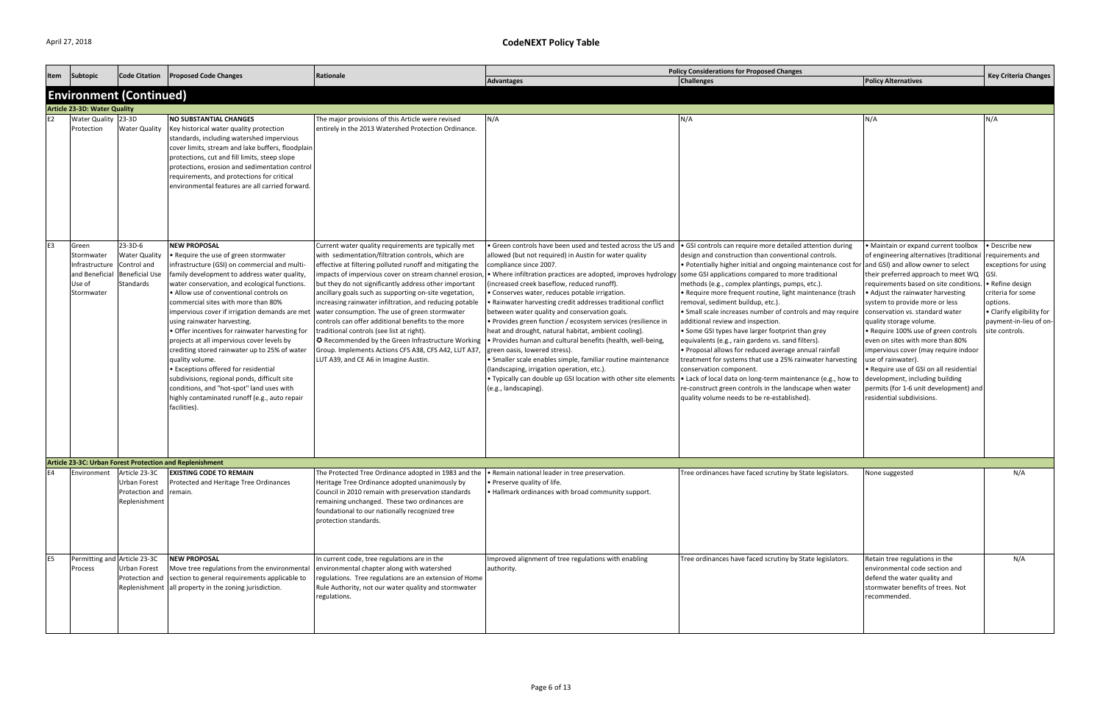| Item           | Subtopic                                                                        | <b>Code Citation</b>                                                                 | <b>Proposed Code Changes</b>                                                                                                                                                                                                                                                                                                                                                                                                                                                                                                                                                                                                                                                                                                                                        | Rationale                                                                                                                                                                                                                                                                                                                                                                                                                                                                                                                                                                                                                                                                                                                 |                                                                                                                                                                                                                                                                                                                                                                                                                                                                                                                                                                                                                                                                                                                                                                                                                                                                                                                             | <b>Policy Considerations for Proposed Changes</b>                                                                                                                                                                                                                                                                                                                                                                                                                                                                                                                                                                                                                                                                                                                                                                                                                             |                                                                                                                                                                                                                                                                                                                                                                                                                                                                                                                                                                                                                                             | <b>Key Criteria Changes</b>                                                                                                                                                                      |
|----------------|---------------------------------------------------------------------------------|--------------------------------------------------------------------------------------|---------------------------------------------------------------------------------------------------------------------------------------------------------------------------------------------------------------------------------------------------------------------------------------------------------------------------------------------------------------------------------------------------------------------------------------------------------------------------------------------------------------------------------------------------------------------------------------------------------------------------------------------------------------------------------------------------------------------------------------------------------------------|---------------------------------------------------------------------------------------------------------------------------------------------------------------------------------------------------------------------------------------------------------------------------------------------------------------------------------------------------------------------------------------------------------------------------------------------------------------------------------------------------------------------------------------------------------------------------------------------------------------------------------------------------------------------------------------------------------------------------|-----------------------------------------------------------------------------------------------------------------------------------------------------------------------------------------------------------------------------------------------------------------------------------------------------------------------------------------------------------------------------------------------------------------------------------------------------------------------------------------------------------------------------------------------------------------------------------------------------------------------------------------------------------------------------------------------------------------------------------------------------------------------------------------------------------------------------------------------------------------------------------------------------------------------------|-------------------------------------------------------------------------------------------------------------------------------------------------------------------------------------------------------------------------------------------------------------------------------------------------------------------------------------------------------------------------------------------------------------------------------------------------------------------------------------------------------------------------------------------------------------------------------------------------------------------------------------------------------------------------------------------------------------------------------------------------------------------------------------------------------------------------------------------------------------------------------|---------------------------------------------------------------------------------------------------------------------------------------------------------------------------------------------------------------------------------------------------------------------------------------------------------------------------------------------------------------------------------------------------------------------------------------------------------------------------------------------------------------------------------------------------------------------------------------------------------------------------------------------|--------------------------------------------------------------------------------------------------------------------------------------------------------------------------------------------------|
|                |                                                                                 |                                                                                      |                                                                                                                                                                                                                                                                                                                                                                                                                                                                                                                                                                                                                                                                                                                                                                     |                                                                                                                                                                                                                                                                                                                                                                                                                                                                                                                                                                                                                                                                                                                           | <b>Advantages</b>                                                                                                                                                                                                                                                                                                                                                                                                                                                                                                                                                                                                                                                                                                                                                                                                                                                                                                           | Challenges                                                                                                                                                                                                                                                                                                                                                                                                                                                                                                                                                                                                                                                                                                                                                                                                                                                                    | <b>Policy Alternatives</b>                                                                                                                                                                                                                                                                                                                                                                                                                                                                                                                                                                                                                  |                                                                                                                                                                                                  |
|                |                                                                                 | <b>Environment (Continued)</b>                                                       |                                                                                                                                                                                                                                                                                                                                                                                                                                                                                                                                                                                                                                                                                                                                                                     |                                                                                                                                                                                                                                                                                                                                                                                                                                                                                                                                                                                                                                                                                                                           |                                                                                                                                                                                                                                                                                                                                                                                                                                                                                                                                                                                                                                                                                                                                                                                                                                                                                                                             |                                                                                                                                                                                                                                                                                                                                                                                                                                                                                                                                                                                                                                                                                                                                                                                                                                                                               |                                                                                                                                                                                                                                                                                                                                                                                                                                                                                                                                                                                                                                             |                                                                                                                                                                                                  |
|                | <b>Article 23-3D: Water Quality</b>                                             |                                                                                      |                                                                                                                                                                                                                                                                                                                                                                                                                                                                                                                                                                                                                                                                                                                                                                     |                                                                                                                                                                                                                                                                                                                                                                                                                                                                                                                                                                                                                                                                                                                           |                                                                                                                                                                                                                                                                                                                                                                                                                                                                                                                                                                                                                                                                                                                                                                                                                                                                                                                             |                                                                                                                                                                                                                                                                                                                                                                                                                                                                                                                                                                                                                                                                                                                                                                                                                                                                               |                                                                                                                                                                                                                                                                                                                                                                                                                                                                                                                                                                                                                                             |                                                                                                                                                                                                  |
| E <sub>2</sub> | Water Quality 23-3D<br>Protection                                               | <b>Water Quality</b>                                                                 | <b>NO SUBSTANTIAL CHANGES</b><br>Key historical water quality protection<br>standards, including watershed impervious<br>cover limits, stream and lake buffers, floodplain<br>protections, cut and fill limits, steep slope<br>protections, erosion and sedimentation control<br>requirements, and protections for critical<br>environmental features are all carried forward.                                                                                                                                                                                                                                                                                                                                                                                      | The major provisions of this Article were revised<br>entirely in the 2013 Watershed Protection Ordinance.                                                                                                                                                                                                                                                                                                                                                                                                                                                                                                                                                                                                                 | N/A                                                                                                                                                                                                                                                                                                                                                                                                                                                                                                                                                                                                                                                                                                                                                                                                                                                                                                                         | N/A                                                                                                                                                                                                                                                                                                                                                                                                                                                                                                                                                                                                                                                                                                                                                                                                                                                                           | N/A                                                                                                                                                                                                                                                                                                                                                                                                                                                                                                                                                                                                                                         | N/A                                                                                                                                                                                              |
| E3             | Green<br>Stormwater<br>Infrastructure<br>and Beneficial<br>Use of<br>Stormwater | 23-3D-6<br><b>Water Quality</b><br>Control and<br><b>Beneficial Use</b><br>Standards | <b>NEW PROPOSAL</b><br>• Require the use of green stormwater<br>infrastructure (GSI) on commercial and multi-<br>family development to address water quality,<br>water conservation, and ecological functions.<br>• Allow use of conventional controls on<br>commercial sites with more than 80%<br>impervious cover if irrigation demands are met<br>using rainwater harvesting.<br>• Offer incentives for rainwater harvesting for<br>projects at all impervious cover levels by<br>crediting stored rainwater up to 25% of water<br>quality volume.<br><b>• Exceptions offered for residential</b><br>subdivisions, regional ponds, difficult site<br>conditions, and "hot-spot" land uses with<br>highly contaminated runoff (e.g., auto repair<br>facilities). | Current water quality requirements are typically met<br>with sedimentation/filtration controls, which are<br>effective at filtering polluted runoff and mitigating the<br>impacts of impervious cover on stream channel erosion,<br>but they do not significantly address other important<br>ancillary goals such as supporting on-site vegetation,<br>increasing rainwater infiltration, and reducing potable<br>water consumption. The use of green stormwater<br>controls can offer additional benefits to the more<br>traditional controls (see list at right).<br>◯ Recommended by the Green Infrastructure Working<br>Group. Implements Actions CFS A38, CFS A42, LUT A37,<br>LUT A39, and CE A6 in Imagine Austin. | • Green controls have been used and tested across the US and<br>allowed (but not required) in Austin for water quality<br>compliance since 2007.<br>• Where infiltration practices are adopted, improves hydrology   some GSI applications compared to more traditional<br>(increased creek baseflow, reduced runoff).<br>• Conserves water, reduces potable irrigation.<br>· Rainwater harvesting credit addresses traditional conflict<br>between water quality and conservation goals.<br>· Provides green function / ecosystem services (resilience in<br>heat and drought, natural habitat, ambient cooling).<br>. Provides human and cultural benefits (health, well-being,<br>green oasis, lowered stress).<br>· Smaller scale enables simple, familiar routine maintenance<br>(landscaping, irrigation operation, etc.).<br>. Typically can double up GSI location with other site elements<br>(e.g., landscaping). | • GSI controls can require more detailed attention during<br>design and construction than conventional controls.<br>• Potentially higher initial and ongoing maintenance cost for<br>methods (e.g., complex plantings, pumps, etc.).<br>• Require more frequent routine, light maintenance (trash<br>removal, sediment buildup, etc.).<br>• Small scale increases number of controls and may require<br>additional review and inspection.<br>• Some GSI types have larger footprint than grey<br>equivalents (e.g., rain gardens vs. sand filters).<br>• Proposal allows for reduced average annual rainfall<br>treatment for systems that use a 25% rainwater harvesting<br>conservation component.<br>. Lack of local data on long-term maintenance (e.g., how to<br>re-construct green controls in the landscape when water<br>quality volume needs to be re-established). | • Maintain or expand current toolbox<br>of engineering alternatives (traditional<br>and GSI) and allow owner to select<br>their preferred approach to meet WQ<br>requirements based on site conditions.<br>• Adjust the rainwater harvesting<br>system to provide more or less<br>conservation vs. standard water<br>quality storage volume.<br>• Require 100% use of green controls<br>even on sites with more than 80%<br>impervious cover (may require indoor<br>use of rainwater).<br>• Require use of GSI on all residential<br>development, including building<br>permits (for 1-6 unit development) and<br>residential subdivisions. | · Describe new<br>requirements and<br>exceptions for using<br>IGSI.<br>• Refine design<br>criteria for some<br>options.<br>• Clarify eligibility for<br>payment-in-lieu of on-<br>site controls. |
|                |                                                                                 |                                                                                      | Article 23-3C: Urban Forest Protection and Replenishment                                                                                                                                                                                                                                                                                                                                                                                                                                                                                                                                                                                                                                                                                                            |                                                                                                                                                                                                                                                                                                                                                                                                                                                                                                                                                                                                                                                                                                                           |                                                                                                                                                                                                                                                                                                                                                                                                                                                                                                                                                                                                                                                                                                                                                                                                                                                                                                                             |                                                                                                                                                                                                                                                                                                                                                                                                                                                                                                                                                                                                                                                                                                                                                                                                                                                                               |                                                                                                                                                                                                                                                                                                                                                                                                                                                                                                                                                                                                                                             |                                                                                                                                                                                                  |
| E4             | Environment                                                                     | Article 23-3C<br><b>Urban Forest</b><br>Protection and<br>Replenishment              | <b>EXISTING CODE TO REMAIN</b><br>Protected and Heritage Tree Ordinances<br>remain.                                                                                                                                                                                                                                                                                                                                                                                                                                                                                                                                                                                                                                                                                 | The Protected Tree Ordinance adopted in 1983 and the $\bullet$ Remain national leader in tree preservation.<br>Heritage Tree Ordinance adopted unanimously by<br>Council in 2010 remain with preservation standards<br>remaining unchanged. These two ordinances are<br>foundational to our nationally recognized tree<br>protection standards.                                                                                                                                                                                                                                                                                                                                                                           | • Preserve quality of life.<br>. Hallmark ordinances with broad community support.                                                                                                                                                                                                                                                                                                                                                                                                                                                                                                                                                                                                                                                                                                                                                                                                                                          | Tree ordinances have faced scrutiny by State legislators.                                                                                                                                                                                                                                                                                                                                                                                                                                                                                                                                                                                                                                                                                                                                                                                                                     | None suggested                                                                                                                                                                                                                                                                                                                                                                                                                                                                                                                                                                                                                              | N/A                                                                                                                                                                                              |
| E <sub>5</sub> | Permitting and Article 23-3C<br>Process                                         | Urban Forest<br>Protection and                                                       | <b>NEW PROPOSAL</b><br>Move tree regulations from the environmenta<br>section to general requirements applicable to<br>Replenishment all property in the zoning jurisdiction.                                                                                                                                                                                                                                                                                                                                                                                                                                                                                                                                                                                       | In current code, tree regulations are in the<br>environmental chapter along with watershed<br>regulations. Tree regulations are an extension of Home<br>Rule Authority, not our water quality and stormwater<br>regulations.                                                                                                                                                                                                                                                                                                                                                                                                                                                                                              | Improved alignment of tree regulations with enabling<br>authority.                                                                                                                                                                                                                                                                                                                                                                                                                                                                                                                                                                                                                                                                                                                                                                                                                                                          | Tree ordinances have faced scrutiny by State legislators.                                                                                                                                                                                                                                                                                                                                                                                                                                                                                                                                                                                                                                                                                                                                                                                                                     | Retain tree regulations in the<br>environmental code section and<br>defend the water quality and<br>stormwater benefits of trees. Not<br>recommended.                                                                                                                                                                                                                                                                                                                                                                                                                                                                                       | N/A                                                                                                                                                                                              |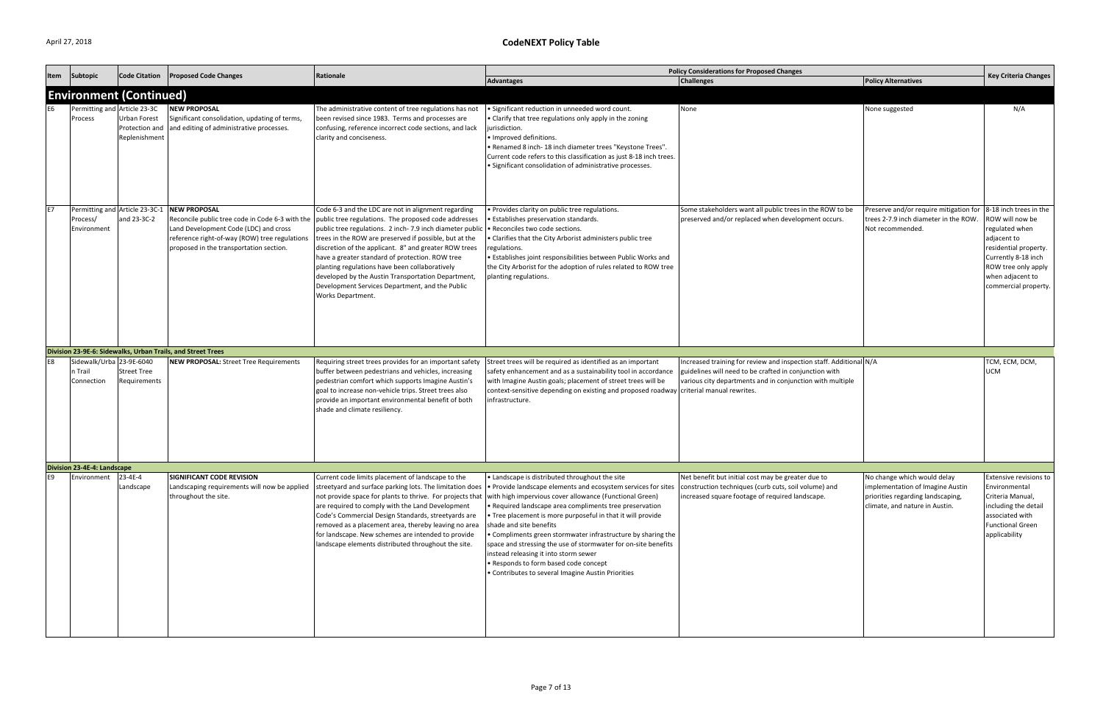| Item      | Subtopic                                          | <b>Code Citation</b>                                   | <b>Proposed Code Changes</b>                                                                                                                                                     | Rationale                                                                                                                                                                                                                                                                                                                                                                                                                                                                                                                                                                            |                                                                                                                                                                                                                                                                                                                                                                                                                                                                                                                                                                                                                                                                     | <b>Policy Considerations for Proposed Changes</b>                                                                                                                                         |                                                                                                                                        | <b>Key Criteria Changes</b>                                                                                                                                                                   |
|-----------|---------------------------------------------------|--------------------------------------------------------|----------------------------------------------------------------------------------------------------------------------------------------------------------------------------------|--------------------------------------------------------------------------------------------------------------------------------------------------------------------------------------------------------------------------------------------------------------------------------------------------------------------------------------------------------------------------------------------------------------------------------------------------------------------------------------------------------------------------------------------------------------------------------------|---------------------------------------------------------------------------------------------------------------------------------------------------------------------------------------------------------------------------------------------------------------------------------------------------------------------------------------------------------------------------------------------------------------------------------------------------------------------------------------------------------------------------------------------------------------------------------------------------------------------------------------------------------------------|-------------------------------------------------------------------------------------------------------------------------------------------------------------------------------------------|----------------------------------------------------------------------------------------------------------------------------------------|-----------------------------------------------------------------------------------------------------------------------------------------------------------------------------------------------|
|           |                                                   |                                                        |                                                                                                                                                                                  |                                                                                                                                                                                                                                                                                                                                                                                                                                                                                                                                                                                      | <b>Advantages</b>                                                                                                                                                                                                                                                                                                                                                                                                                                                                                                                                                                                                                                                   | <b>Challenges</b>                                                                                                                                                                         | <b>Policy Alternatives</b>                                                                                                             |                                                                                                                                                                                               |
|           | <b>Environment (Continued)</b>                    |                                                        |                                                                                                                                                                                  |                                                                                                                                                                                                                                                                                                                                                                                                                                                                                                                                                                                      |                                                                                                                                                                                                                                                                                                                                                                                                                                                                                                                                                                                                                                                                     |                                                                                                                                                                                           |                                                                                                                                        |                                                                                                                                                                                               |
|           | Permitting and Article 23-3C<br>Process           | <b>Urban Forest</b><br>Protection and<br>Replenishment | <b>NEW PROPOSAL</b><br>Significant consolidation, updating of terms,<br>and editing of administrative processes.                                                                 | The administrative content of tree regulations has not<br>been revised since 1983. Terms and processes are<br>confusing, reference incorrect code sections, and lack<br>clarity and conciseness.                                                                                                                                                                                                                                                                                                                                                                                     | • Significant reduction in unneeded word count.<br>• Clarify that tree regulations only apply in the zoning<br>jurisdiction.<br>· Improved definitions.<br>• Renamed 8 inch-18 inch diameter trees "Keystone Trees".<br>Current code refers to this classification as just 8-18 inch trees.<br>Significant consolidation of administrative processes.                                                                                                                                                                                                                                                                                                               | None                                                                                                                                                                                      | None suggested                                                                                                                         | N/A                                                                                                                                                                                           |
| <b>E7</b> | Process/<br>Environment                           | and 23-3C-2                                            | Permitting and Article 23-3C-1 NEW PROPOSAL<br>Land Development Code (LDC) and cross<br>reference right-of-way (ROW) tree regulations<br>proposed in the transportation section. | Code 6-3 and the LDC are not in alignment regarding<br>Reconcile public tree code in Code 6-3 with the public tree regulations. The proposed code addresses<br>public tree regulations. 2 inch-7.9 inch diameter public<br>trees in the ROW are preserved if possible, but at the<br>discretion of the applicant. 8" and greater ROW trees<br>have a greater standard of protection. ROW tree<br>planting regulations have been collaboratively<br>developed by the Austin Transportation Department,<br>Development Services Department, and the Public<br><b>Works Department.</b> | • Provides clarity on public tree regulations.<br><b>•</b> Establishes preservation standards.<br>• Reconciles two code sections.<br>• Clarifies that the City Arborist administers public tree<br>regulations.<br>• Establishes joint responsibilities between Public Works and<br>the City Arborist for the adoption of rules related to ROW tree<br>planting regulations.                                                                                                                                                                                                                                                                                        | Some stakeholders want all public trees in the ROW to be<br>preserved and/or replaced when development occurs.                                                                            | Preserve and/or require mitigation for<br>trees 2-7.9 inch diameter in the ROW.<br>Not recommended.                                    | 8-18 inch trees in the<br>ROW will now be<br>regulated when<br>adjacent to<br>residential property.<br>Currently 8-18 inch<br>ROW tree only apply<br>when adjacent to<br>commercial property. |
|           |                                                   |                                                        | Division 23-9E-6: Sidewalks, Urban Trails, and Street Trees                                                                                                                      |                                                                                                                                                                                                                                                                                                                                                                                                                                                                                                                                                                                      |                                                                                                                                                                                                                                                                                                                                                                                                                                                                                                                                                                                                                                                                     |                                                                                                                                                                                           |                                                                                                                                        |                                                                                                                                                                                               |
| E8        | Sidewalk/Urba 23-9E-6040<br>n Trail<br>Connection | <b>Street Tree</b><br>Requirements                     | <b>NEW PROPOSAL:</b> Street Tree Requirements                                                                                                                                    | Requiring street trees provides for an important safety<br>buffer between pedestrians and vehicles, increasing<br>pedestrian comfort which supports Imagine Austin's<br>goal to increase non-vehicle trips. Street trees also<br>provide an important environmental benefit of both<br>shade and climate resiliency.                                                                                                                                                                                                                                                                 | Street trees will be required as identified as an important<br>safety enhancement and as a sustainability tool in accordance<br>with Imagine Austin goals; placement of street trees will be<br>context-sensitive depending on existing and proposed roadway criterial manual rewrites.<br>infrastructure.                                                                                                                                                                                                                                                                                                                                                          | Increased training for review and inspection staff. Additional N/A<br>guidelines will need to be crafted in conjunction with<br>various city departments and in conjunction with multiple |                                                                                                                                        | TCM, ECM, DCM,<br>UCM                                                                                                                                                                         |
|           | Division 23-4E-4: Landscape                       |                                                        |                                                                                                                                                                                  |                                                                                                                                                                                                                                                                                                                                                                                                                                                                                                                                                                                      |                                                                                                                                                                                                                                                                                                                                                                                                                                                                                                                                                                                                                                                                     |                                                                                                                                                                                           |                                                                                                                                        |                                                                                                                                                                                               |
| E9        | Environment                                       | 23-4E-4<br>Landscape                                   | <b>SIGNIFICANT CODE REVISION</b><br>Landscaping requirements will now be applied<br>throughout the site.                                                                         | Current code limits placement of landscape to the<br>streetyard and surface parking lots. The limitation does<br>are required to comply with the Land Development<br>Code's Commercial Design Standards, streetyards are<br>removed as a placement area, thereby leaving no area<br>for landscape. New schemes are intended to provide<br>landscape elements distributed throughout the site.                                                                                                                                                                                        | • Landscape is distributed throughout the site<br>• Provide landscape elements and ecosystem services for sites<br>not provide space for plants to thrive. For projects that with high impervious cover allowance (Functional Green)<br>• Required landscape area compliments tree preservation<br>. Tree placement is more purposeful in that it will provide<br>shade and site benefits<br>• Compliments green stormwater infrastructure by sharing the<br>space and stressing the use of stormwater for on-site benefits<br>instead releasing it into storm sewer<br>· Responds to form based code concept<br>• Contributes to several Imagine Austin Priorities | Net benefit but initial cost may be greater due to<br>construction techniques (curb cuts, soil volume) and<br>increased square footage of required landscape.                             | No change which would delay<br>implementation of Imagine Austin<br>priorities regarding landscaping,<br>climate, and nature in Austin. | Extensive revisions to<br>Environmental<br>Criteria Manual,<br>including the detail<br>associated with<br><b>Functional Green</b><br>applicability                                            |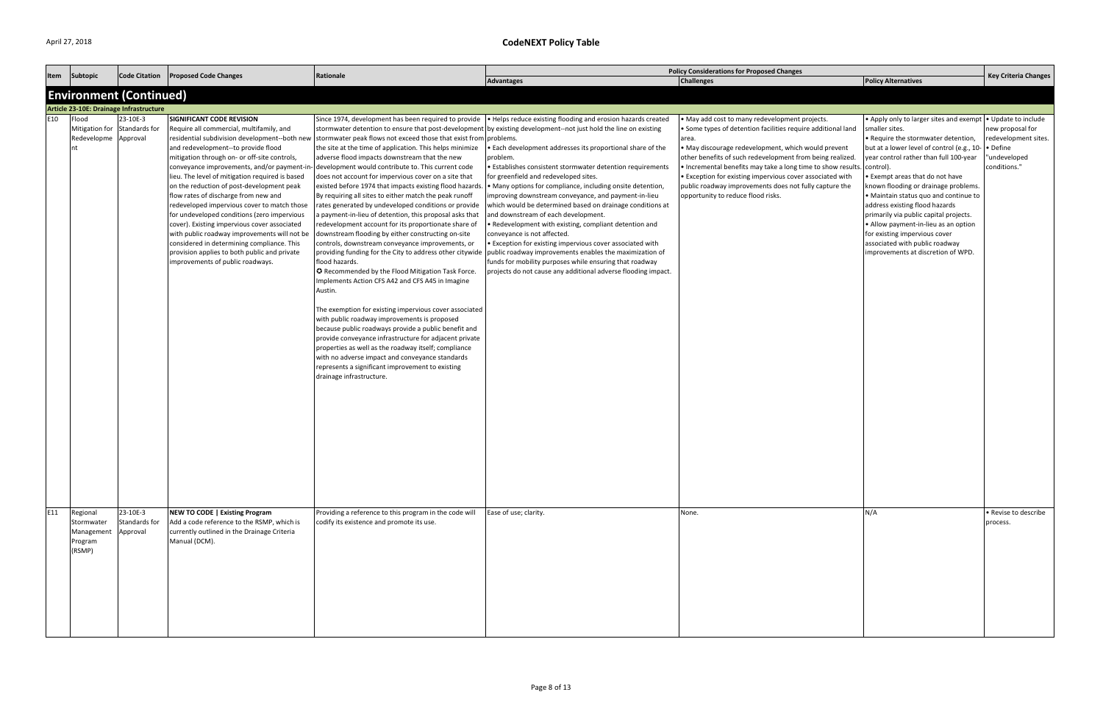| Item            | Subtopic                                                    | <b>Code Citation</b>                                                      | <b>Proposed Code Changes</b>                                                                                                                                                                                                                                                                                                                                                                                                                                                                                                                                                                                                                                                        | Rationale                                                                                                                                                                                                                                                                                                                                                                                                                                                                                                                                                                                                                                                                                                                                                                                                                                                                                                                                                                                                                                                                                                                                                                                                                                                                                                                                                                                                                                     |                                                                                                                                                                                                                                                                                                                                                                                                                                                                                                                                                                                                                                                                                                                                                                                                                                                                                                                                          | <b>Policy Considerations for Proposed Changes</b>                                                                                                                                                                                                                                                                                                                                                                                                                        |                                                                                                                                                                                                                                                                                                                                                                                                                                                                                                                                                        | <b>Key Criteria Changes</b>                                                                                 |
|-----------------|-------------------------------------------------------------|---------------------------------------------------------------------------|-------------------------------------------------------------------------------------------------------------------------------------------------------------------------------------------------------------------------------------------------------------------------------------------------------------------------------------------------------------------------------------------------------------------------------------------------------------------------------------------------------------------------------------------------------------------------------------------------------------------------------------------------------------------------------------|-----------------------------------------------------------------------------------------------------------------------------------------------------------------------------------------------------------------------------------------------------------------------------------------------------------------------------------------------------------------------------------------------------------------------------------------------------------------------------------------------------------------------------------------------------------------------------------------------------------------------------------------------------------------------------------------------------------------------------------------------------------------------------------------------------------------------------------------------------------------------------------------------------------------------------------------------------------------------------------------------------------------------------------------------------------------------------------------------------------------------------------------------------------------------------------------------------------------------------------------------------------------------------------------------------------------------------------------------------------------------------------------------------------------------------------------------|------------------------------------------------------------------------------------------------------------------------------------------------------------------------------------------------------------------------------------------------------------------------------------------------------------------------------------------------------------------------------------------------------------------------------------------------------------------------------------------------------------------------------------------------------------------------------------------------------------------------------------------------------------------------------------------------------------------------------------------------------------------------------------------------------------------------------------------------------------------------------------------------------------------------------------------|--------------------------------------------------------------------------------------------------------------------------------------------------------------------------------------------------------------------------------------------------------------------------------------------------------------------------------------------------------------------------------------------------------------------------------------------------------------------------|--------------------------------------------------------------------------------------------------------------------------------------------------------------------------------------------------------------------------------------------------------------------------------------------------------------------------------------------------------------------------------------------------------------------------------------------------------------------------------------------------------------------------------------------------------|-------------------------------------------------------------------------------------------------------------|
|                 |                                                             |                                                                           |                                                                                                                                                                                                                                                                                                                                                                                                                                                                                                                                                                                                                                                                                     |                                                                                                                                                                                                                                                                                                                                                                                                                                                                                                                                                                                                                                                                                                                                                                                                                                                                                                                                                                                                                                                                                                                                                                                                                                                                                                                                                                                                                                               | Advantages                                                                                                                                                                                                                                                                                                                                                                                                                                                                                                                                                                                                                                                                                                                                                                                                                                                                                                                               | <b>Challenges</b>                                                                                                                                                                                                                                                                                                                                                                                                                                                        | <b>Policy Alternatives</b>                                                                                                                                                                                                                                                                                                                                                                                                                                                                                                                             |                                                                                                             |
|                 |                                                             | <b>Environment (Continued)</b><br>Article 23-10E: Drainage Infrastructure |                                                                                                                                                                                                                                                                                                                                                                                                                                                                                                                                                                                                                                                                                     |                                                                                                                                                                                                                                                                                                                                                                                                                                                                                                                                                                                                                                                                                                                                                                                                                                                                                                                                                                                                                                                                                                                                                                                                                                                                                                                                                                                                                                               |                                                                                                                                                                                                                                                                                                                                                                                                                                                                                                                                                                                                                                                                                                                                                                                                                                                                                                                                          |                                                                                                                                                                                                                                                                                                                                                                                                                                                                          |                                                                                                                                                                                                                                                                                                                                                                                                                                                                                                                                                        |                                                                                                             |
| E10             | Flood<br>Mitigation for Standards for<br>Redevelopme<br>Int | 23-10E-3<br>Approval                                                      | SIGNIFICANT CODE REVISION<br>Require all commercial, multifamily, and<br>and redevelopment--to provide flood<br>mitigation through on- or off-site controls,<br>conveyance improvements, and/or payment-in-<br>lieu. The level of mitigation required is based<br>on the reduction of post-development peak<br>flow rates of discharge from new and<br>redeveloped impervious cover to match those<br>for undeveloped conditions (zero impervious<br>cover). Existing impervious cover associated<br>with public roadway improvements will not be<br>considered in determining compliance. This<br>provision applies to both public and private<br>improvements of public roadways. | Since 1974, development has been required to provide<br>residential subdivision development--both new stormwater peak flows not exceed those that exist from problems.<br>the site at the time of application. This helps minimize<br>adverse flood impacts downstream that the new<br>- development would contribute to. This current code<br>does not account for impervious cover on a site that<br>existed before 1974 that impacts existing flood hazards<br>By requiring all sites to either match the peak runoff<br>rates generated by undeveloped conditions or provide<br>a payment-in-lieu of detention, this proposal asks that<br>redevelopment account for its proportionate share of<br>downstream flooding by either constructing on-site<br>controls, downstream conveyance improvements, or<br>providing funding for the City to address other citywide<br>flood hazards.<br><b>O</b> Recommended by the Flood Mitigation Task Force.<br>Implements Action CFS A42 and CFS A45 in Imagine<br>Austin.<br>The exemption for existing impervious cover associated<br>with public roadway improvements is proposed<br>because public roadways provide a public benefit and<br>provide conveyance infrastructure for adjacent private<br>properties as well as the roadway itself; compliance<br>with no adverse impact and conveyance standards<br>represents a significant improvement to existing<br>drainage infrastructure. | . Helps reduce existing flooding and erosion hazards created<br>stormwater detention to ensure that post-development by existing development--not just hold the line on existing<br>• Each development addresses its proportional share of the<br>problem.<br>· Establishes consistent stormwater detention requirements<br>for greenfield and redeveloped sites.<br>• Many options for compliance, including onsite detention,<br>improving downstream conveyance, and payment-in-lieu<br>which would be determined based on drainage conditions at<br>and downstream of each development.<br>• Redevelopment with existing, compliant detention and<br>conveyance is not affected.<br>• Exception for existing impervious cover associated with<br>public roadway improvements enables the maximization of<br>funds for mobility purposes while ensuring that roadway<br>projects do not cause any additional adverse flooding impact. | . May add cost to many redevelopment projects.<br>• Some types of detention facilities require additional land<br>area.<br>• May discourage redevelopment, which would prevent<br>other benefits of such redevelopment from being realized.<br>. Incremental benefits may take a long time to show results.<br>• Exception for existing impervious cover associated with<br>public roadway improvements does not fully capture the<br>opportunity to reduce flood risks. | • Apply only to larger sites and exempt<br>smaller sites.<br>• Require the stormwater detention,<br>but at a lower level of control (e.g., 10-<br>year control rather than full 100-year<br>control).<br>• Exempt areas that do not have<br>known flooding or drainage problems.<br>• Maintain status quo and continue to<br>address existing flood hazards<br>primarily via public capital projects.<br>• Allow payment-in-lieu as an option<br>for existing impervious cover<br>associated with public roadway<br>improvements at discretion of WPD. | . Update to include<br>new proposal for<br>redevelopment sites.<br>• Define<br>"undeveloped<br>conditions." |
| E <sub>11</sub> | Regional<br>Stormwater<br>Management<br>Program<br>(RSMP)   | 23-10E-3<br>Standards for<br>Approval                                     | <b>NEW TO CODE   Existing Program</b><br>Add a code reference to the RSMP, which is<br>currently outlined in the Drainage Criteria<br>Manual (DCM).                                                                                                                                                                                                                                                                                                                                                                                                                                                                                                                                 | Providing a reference to this program in the code will<br>codify its existence and promote its use.                                                                                                                                                                                                                                                                                                                                                                                                                                                                                                                                                                                                                                                                                                                                                                                                                                                                                                                                                                                                                                                                                                                                                                                                                                                                                                                                           | Ease of use; clarity.                                                                                                                                                                                                                                                                                                                                                                                                                                                                                                                                                                                                                                                                                                                                                                                                                                                                                                                    | None.                                                                                                                                                                                                                                                                                                                                                                                                                                                                    | N/A                                                                                                                                                                                                                                                                                                                                                                                                                                                                                                                                                    | • Revise to describe<br>process.                                                                            |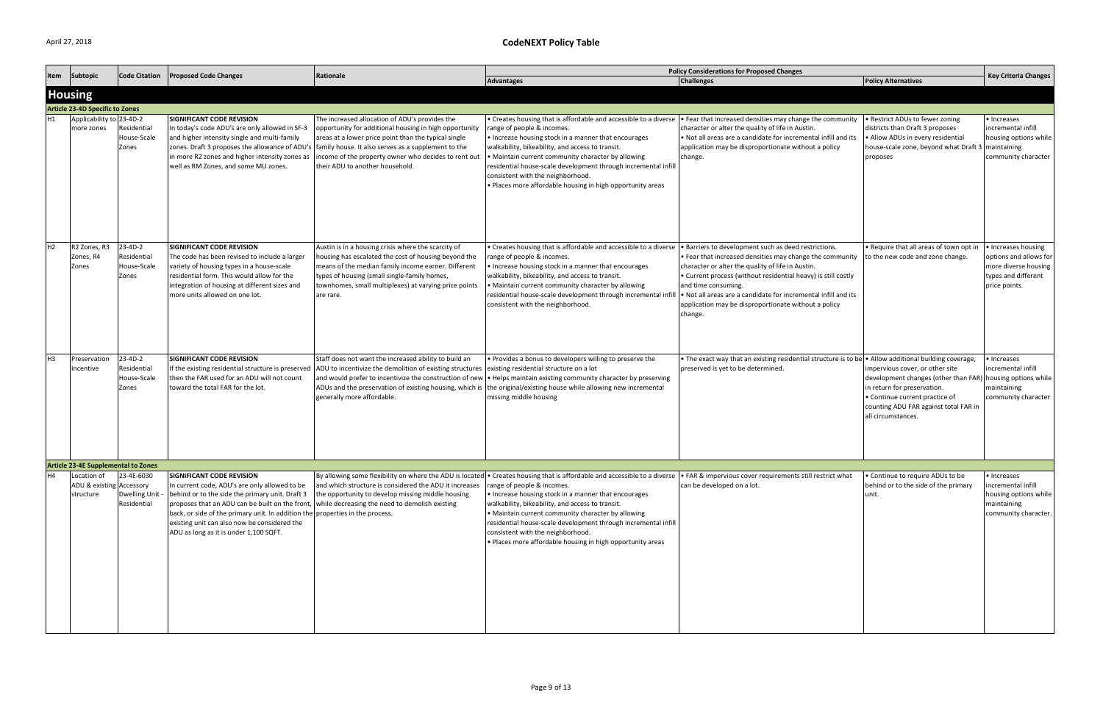| Item           | Subtopic                                   | <b>Code Citation</b>                             | <b>Proposed Code Changes</b>                                                                                                                                                                                                                                                                                                                                                  | Rationale                                                                                                                                                                                                                                                                                                         |                                                                                                                                                                                                                                                                                                                                                                                                                                                                                                 | <b>Policy Considerations for Proposed Changes</b>                                                                                                                                                                                                                                                                                          |                                                                                                                                                                                                         | <b>Key Criteria Changes</b>                                                                                   |
|----------------|--------------------------------------------|--------------------------------------------------|-------------------------------------------------------------------------------------------------------------------------------------------------------------------------------------------------------------------------------------------------------------------------------------------------------------------------------------------------------------------------------|-------------------------------------------------------------------------------------------------------------------------------------------------------------------------------------------------------------------------------------------------------------------------------------------------------------------|-------------------------------------------------------------------------------------------------------------------------------------------------------------------------------------------------------------------------------------------------------------------------------------------------------------------------------------------------------------------------------------------------------------------------------------------------------------------------------------------------|--------------------------------------------------------------------------------------------------------------------------------------------------------------------------------------------------------------------------------------------------------------------------------------------------------------------------------------------|---------------------------------------------------------------------------------------------------------------------------------------------------------------------------------------------------------|---------------------------------------------------------------------------------------------------------------|
|                |                                            |                                                  |                                                                                                                                                                                                                                                                                                                                                                               |                                                                                                                                                                                                                                                                                                                   | <b>Advantages</b>                                                                                                                                                                                                                                                                                                                                                                                                                                                                               | <b>Challenges</b>                                                                                                                                                                                                                                                                                                                          | <b>Policy Alternatives</b>                                                                                                                                                                              |                                                                                                               |
|                | <b>Housing</b>                             |                                                  |                                                                                                                                                                                                                                                                                                                                                                               |                                                                                                                                                                                                                                                                                                                   |                                                                                                                                                                                                                                                                                                                                                                                                                                                                                                 |                                                                                                                                                                                                                                                                                                                                            |                                                                                                                                                                                                         |                                                                                                               |
|                | <b>Article 23-4D Specific to Zones</b>     |                                                  |                                                                                                                                                                                                                                                                                                                                                                               |                                                                                                                                                                                                                                                                                                                   |                                                                                                                                                                                                                                                                                                                                                                                                                                                                                                 |                                                                                                                                                                                                                                                                                                                                            |                                                                                                                                                                                                         |                                                                                                               |
| H1             | Applicability to 23-4D-2<br>more zones     | Residential<br>House-Scale<br>Zones              | SIGNIFICANT CODE REVISION<br>In today's code ADU's are only allowed in SF-3<br>and higher intensity single and multi-family<br>zones. Draft 3 proposes the allowance of ADU's<br>in more R2 zones and higher intensity zones as<br>well as RM Zones, and some MU zones.                                                                                                       | The increased allocation of ADU's provides the<br>opportunity for additional housing in high opportunity<br>areas at a lower price point than the typical single<br>family house. It also serves as a supplement to the<br>ncome of the property owner who decides to rent out<br>their ADU to another household. | • Creates housing that is affordable and accessible to a diverse  • Fear that increased densities may change the community<br>range of people & incomes.<br>• Increase housing stock in a manner that encourages<br>walkability, bikeability, and access to transit.<br>• Maintain current community character by allowing<br>residential house-scale development through incremental infill<br>consistent with the neighborhood.<br>· Places more affordable housing in high opportunity areas | character or alter the quality of life in Austin.<br>. Not all areas are a candidate for incremental infill and its<br>application may be disproportionate without a policy<br>change.                                                                                                                                                     | • Restrict ADUs to fewer zoning<br>districts than Draft 3 proposes<br>• Allow ADUs in every residential<br>house-scale zone, beyond what Draft<br>proposes                                              | • Increases<br>incremental infill<br>housing options while<br>maintaining<br>community character              |
| H2             | R2 Zones, R3<br>Zones, R4<br>Zones         | $23-4D-2$<br>Residential<br>House-Scale<br>Zones | <b>SIGNIFICANT CODE REVISION</b><br>The code has been revised to include a larger<br>variety of housing types in a house-scale<br>residential form. This would allow for the<br>integration of housing at different sizes and<br>more units allowed on one lot.                                                                                                               | Austin is in a housing crisis where the scarcity of<br>housing has escalated the cost of housing beyond the<br>means of the median family income earner. Different<br>types of housing (small single-family homes,<br>townhomes, small multiplexes) at varying price points<br>are rare.                          | • Creates housing that is affordable and accessible to a diverse $\vert \cdot \vert$ Barriers to development such as deed restrictions.<br>range of people & incomes.<br>• Increase housing stock in a manner that encourages<br>walkability, bikeability, and access to transit.<br>• Maintain current community character by allowing<br>residential house-scale development through incremental infill<br>consistent with the neighborhood.                                                  | • Fear that increased densities may change the community<br>character or alter the quality of life in Austin.<br>• Current process (without residential heavy) is still costly<br>and time consuming.<br>. Not all areas are a candidate for incremental infill and its<br>application may be disproportionate without a policy<br>change. | • Require that all areas of town opt in<br>to the new code and zone change.                                                                                                                             | • Increases housing<br>options and allows for<br>more diverse housing<br>types and different<br>price points. |
| H <sub>3</sub> | Preservation<br>Incentive                  | 23-4D-2<br>Residential<br>House-Scale<br>Zones   | SIGNIFICANT CODE REVISION<br>If the existing residential structure is preserved<br>then the FAR used for an ADU will not count<br>toward the total FAR for the lot.                                                                                                                                                                                                           | Staff does not want the increased ability to build an<br>ADU to incentivize the demolition of existing structures<br>and would prefer to incentivize the construction of new<br>ADUs and the preservation of existing housing, which is<br>generally more affordable.                                             | • Provides a bonus to developers willing to preserve the<br>existing residential structure on a lot<br>. Helps maintain existing community character by preserving<br>the original/existing house while allowing new incremental<br>missing middle housing                                                                                                                                                                                                                                      | • The exact way that an existing residential structure is to be • Allow additional building coverage,<br>preserved is yet to be determined.                                                                                                                                                                                                | impervious cover, or other site<br>development changes (other than FAR)<br>in return for preservation.<br>• Continue current practice of<br>counting ADU FAR against total FAR in<br>all circumstances. | • Increases<br>incremental infill<br>housing options while<br>maintaining<br>community character              |
|                | <b>Article 23-4E Supplemental to Zones</b> |                                                  |                                                                                                                                                                                                                                                                                                                                                                               |                                                                                                                                                                                                                                                                                                                   |                                                                                                                                                                                                                                                                                                                                                                                                                                                                                                 |                                                                                                                                                                                                                                                                                                                                            |                                                                                                                                                                                                         |                                                                                                               |
| H4             | Location of                                | 23-4E-6030                                       | <b>SIGNIFICANT CODE REVISION</b>                                                                                                                                                                                                                                                                                                                                              |                                                                                                                                                                                                                                                                                                                   | By allowing some flexibility on where the ADU is located • Creates housing that is affordable and accessible to a diverse • FAR & impervious cover requirements still restrict what                                                                                                                                                                                                                                                                                                             |                                                                                                                                                                                                                                                                                                                                            | • Continue to require ADUs to be                                                                                                                                                                        | · Increases                                                                                                   |
|                | ADU & existing Accessory<br>structure      | Dwelling Unit<br>Residential                     | In current code, ADU's are only allowed to be<br>behind or to the side the primary unit. Draft 3<br>proposes that an ADU can be built on the front, while decreasing the need to demolish existing<br>back, or side of the primary unit. In addition the properties in the process.<br>existing unit can also now be considered the<br>ADU as long as it is under 1,100 SQFT. | and which structure is considered the ADU it increases<br>the opportunity to develop missing middle housing                                                                                                                                                                                                       | range of people & incomes.<br>• Increase housing stock in a manner that encourages<br>walkability, bikeability, and access to transit.<br>• Maintain current community character by allowing<br>residential house-scale development through incremental infill<br>consistent with the neighborhood.<br>. Places more affordable housing in high opportunity areas                                                                                                                               | can be developed on a lot.                                                                                                                                                                                                                                                                                                                 | behind or to the side of the primary<br>unit.                                                                                                                                                           | incremental infill<br>housing options while<br>maintaining<br>community character.                            |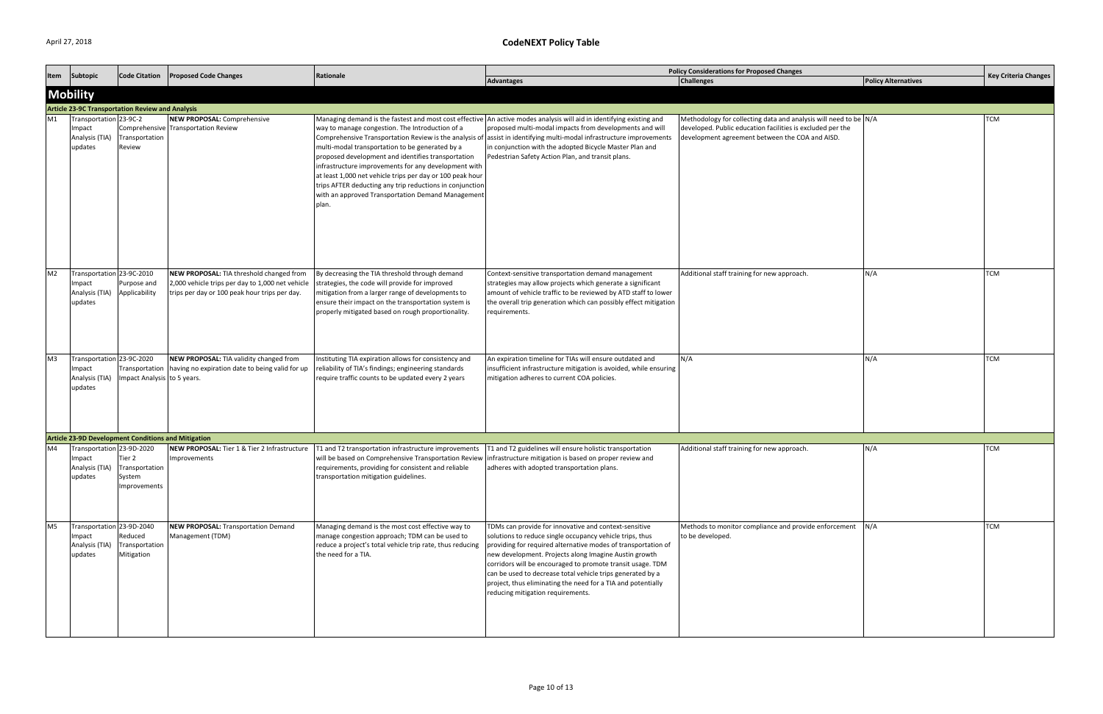| Item           | Subtopic                                                                        | <b>Code Citation</b>                    | <b>Proposed Code Changes</b>                                                                                                                  | Rationale                                                                                                                                                                                                                                                                                                                                                                                               |                                                                                                                                                                                                                                                                                                                                                                                                                                                                              | <b>Policy Considerations for Proposed Changes</b>                                                                                                                                 |                            | <b>Key Criteria Changes</b> |
|----------------|---------------------------------------------------------------------------------|-----------------------------------------|-----------------------------------------------------------------------------------------------------------------------------------------------|---------------------------------------------------------------------------------------------------------------------------------------------------------------------------------------------------------------------------------------------------------------------------------------------------------------------------------------------------------------------------------------------------------|------------------------------------------------------------------------------------------------------------------------------------------------------------------------------------------------------------------------------------------------------------------------------------------------------------------------------------------------------------------------------------------------------------------------------------------------------------------------------|-----------------------------------------------------------------------------------------------------------------------------------------------------------------------------------|----------------------------|-----------------------------|
|                |                                                                                 |                                         |                                                                                                                                               |                                                                                                                                                                                                                                                                                                                                                                                                         | Advantages                                                                                                                                                                                                                                                                                                                                                                                                                                                                   | <b>Challenges</b>                                                                                                                                                                 | <b>Policy Alternatives</b> |                             |
|                | <b>Mobility</b>                                                                 |                                         |                                                                                                                                               |                                                                                                                                                                                                                                                                                                                                                                                                         |                                                                                                                                                                                                                                                                                                                                                                                                                                                                              |                                                                                                                                                                                   |                            |                             |
|                | <b>Article 23-9C Transportation Review and Analysis</b>                         |                                         |                                                                                                                                               |                                                                                                                                                                                                                                                                                                                                                                                                         |                                                                                                                                                                                                                                                                                                                                                                                                                                                                              |                                                                                                                                                                                   |                            |                             |
| M1             | ransportation 23-9C-2<br>Impact<br>Analysis (TIA)<br>updates                    | Transportation<br>Review                | NEW PROPOSAL: Comprehensive<br>Comprehensive Transportation Review                                                                            | way to manage congestion. The Introduction of a<br>multi-modal transportation to be generated by a<br>proposed development and identifies transportation<br>infrastructure improvements for any development with<br>at least 1,000 net vehicle trips per day or 100 peak hour<br>trips AFTER deducting any trip reductions in conjunction<br>with an approved Transportation Demand Management<br>plan. | Managing demand is the fastest and most cost effective An active modes analysis will aid in identifying existing and<br>proposed multi-modal impacts from developments and will<br>Comprehensive Transportation Review is the analysis of assist in identifying multi-modal infrastructure improvements<br>in conjunction with the adopted Bicycle Master Plan and<br>Pedestrian Safety Action Plan, and transit plans.                                                      | Methodology for collecting data and analysis will need to be N/A<br>developed. Public education facilities is excluded per the<br>development agreement between the COA and AISD. |                            | <b>TCM</b>                  |
| M <sub>2</sub> | Transportation 23-9C-2010<br>Impact<br>Analysis (TIA)<br>updates                | Purpose and<br>Applicability            | NEW PROPOSAL: TIA threshold changed from<br>2,000 vehicle trips per day to 1,000 net vehicle<br>trips per day or 100 peak hour trips per day. | By decreasing the TIA threshold through demand<br>strategies, the code will provide for improved<br>mitigation from a larger range of developments to<br>ensure their impact on the transportation system is<br>properly mitigated based on rough proportionality.                                                                                                                                      | Context-sensitive transportation demand management<br>strategies may allow projects which generate a significant<br>amount of vehicle traffic to be reviewed by ATD staff to lower<br>the overall trip generation which can possibly effect mitigation<br>requirements.                                                                                                                                                                                                      | Additional staff training for new approach.                                                                                                                                       | N/A                        | <b>TCM</b>                  |
| M3             | Transportation 23-9C-2020<br>Impact<br>Analysis (TIA)<br>updates                | Impact Analysis to 5 years.             | NEW PROPOSAL: TIA validity changed from<br>Transportation having no expiration date to being valid for up                                     | Instituting TIA expiration allows for consistency and<br>reliability of TIA's findings; engineering standards<br>require traffic counts to be updated every 2 years                                                                                                                                                                                                                                     | An expiration timeline for TIAs will ensure outdated and<br>insufficient infrastructure mitigation is avoided, while ensuring<br>mitigation adheres to current COA policies.                                                                                                                                                                                                                                                                                                 | N/A                                                                                                                                                                               | N/A                        | <b>TCM</b>                  |
|                | Article 23-9D Development Conditions and Mitigation                             |                                         |                                                                                                                                               |                                                                                                                                                                                                                                                                                                                                                                                                         |                                                                                                                                                                                                                                                                                                                                                                                                                                                                              |                                                                                                                                                                                   |                            |                             |
| M4             | Transportation 23-9D-2020<br>Impact<br>Analysis (TIA) Transportation<br>updates | Tier 2<br>System<br>Improvements        | NEW PROPOSAL: Tier 1 & Tier 2 Infrastructure<br>Improvements                                                                                  | T1 and T2 transportation infrastructure improvements<br>requirements, providing for consistent and reliable<br>transportation mitigation guidelines.                                                                                                                                                                                                                                                    | T1 and T2 guidelines will ensure holistic transportation<br>will be based on Comprehensive Transportation Review  infrastructure mitigation is based on proper review and<br>adheres with adopted transportation plans.                                                                                                                                                                                                                                                      | Additional staff training for new approach.                                                                                                                                       | N/A                        | <b>TCM</b>                  |
| M <sub>5</sub> | Transportation 23-9D-2040<br>Impact<br>Analysis (TIA)<br>updates                | Reduced<br>Transportation<br>Mitigation | <b>NEW PROPOSAL: Transportation Demand</b><br>Management (TDM)                                                                                | Managing demand is the most cost effective way to<br>manage congestion approach; TDM can be used to<br>reduce a project's total vehicle trip rate, thus reducing<br>the need for a TIA.                                                                                                                                                                                                                 | TDMs can provide for innovative and context-sensitive<br>solutions to reduce single occupancy vehicle trips, thus<br>providing for required alternative modes of transportation of<br>new development. Projects along Imagine Austin growth<br>corridors will be encouraged to promote transit usage. TDM<br>can be used to decrease total vehicle trips generated by a<br>project, thus eliminating the need for a TIA and potentially<br>reducing mitigation requirements. | Methods to monitor compliance and provide enforcement<br>to be developed.                                                                                                         | N/A                        | <b>TCM</b>                  |

| cy Considerations for Proposed Changes                                                                                                                                              |                            | <b>Key Criteria Changes</b> |
|-------------------------------------------------------------------------------------------------------------------------------------------------------------------------------------|----------------------------|-----------------------------|
| <b>Challenges</b>                                                                                                                                                                   | <b>Policy Alternatives</b> |                             |
|                                                                                                                                                                                     |                            |                             |
|                                                                                                                                                                                     |                            |                             |
| Methodology for collecting data and analysis will need to be $N/A$<br>developed. Public education facilities is excluded per the<br>development agreement between the COA and AISD. |                            | TCM                         |
|                                                                                                                                                                                     |                            |                             |
| Additional staff training for new approach.                                                                                                                                         | N/A                        | <b>TCM</b>                  |
| N/A                                                                                                                                                                                 | N/A                        | <b>TCM</b>                  |
|                                                                                                                                                                                     |                            |                             |
|                                                                                                                                                                                     |                            |                             |
| Additional staff training for new approach.                                                                                                                                         | N/A                        | <b>TCM</b>                  |
| Methods to monitor compliance and provide enforcement<br>to be developed.                                                                                                           | N/A                        | <b>TCM</b>                  |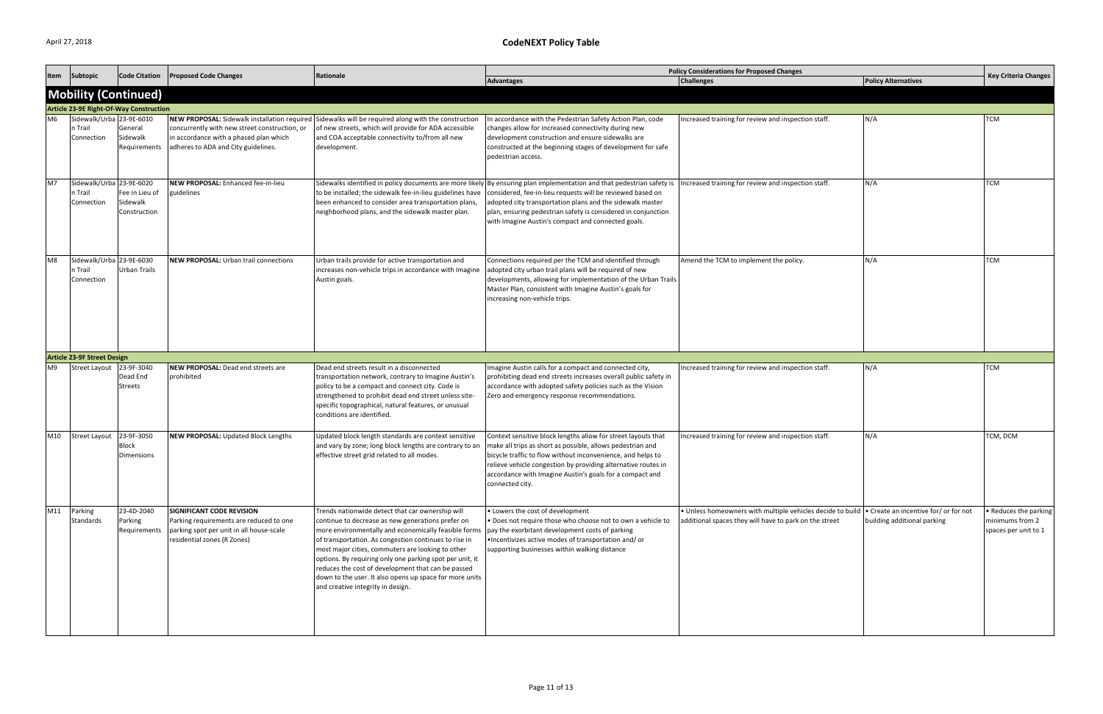| Item           | Subtopic                                          | <b>Code Citation</b>                       | <b>Proposed Code Changes</b>                                                                                                                    | Rationale                                                                                                                                                                                                                                                                                                                                                                                                                                                                                     |                                                                                                                                                                                                                                                                                                                                                                                                                              | <b>Policy Considerations for Proposed Changes</b>                                                                                                            |                             | <b>Key Criteria Changes</b>                                      |
|----------------|---------------------------------------------------|--------------------------------------------|-------------------------------------------------------------------------------------------------------------------------------------------------|-----------------------------------------------------------------------------------------------------------------------------------------------------------------------------------------------------------------------------------------------------------------------------------------------------------------------------------------------------------------------------------------------------------------------------------------------------------------------------------------------|------------------------------------------------------------------------------------------------------------------------------------------------------------------------------------------------------------------------------------------------------------------------------------------------------------------------------------------------------------------------------------------------------------------------------|--------------------------------------------------------------------------------------------------------------------------------------------------------------|-----------------------------|------------------------------------------------------------------|
|                |                                                   |                                            |                                                                                                                                                 |                                                                                                                                                                                                                                                                                                                                                                                                                                                                                               | <b>Advantages</b>                                                                                                                                                                                                                                                                                                                                                                                                            | <b>Challenges</b>                                                                                                                                            | <b>Policy Alternatives</b>  |                                                                  |
|                |                                                   | <b>Mobility (Continued)</b>                |                                                                                                                                                 |                                                                                                                                                                                                                                                                                                                                                                                                                                                                                               |                                                                                                                                                                                                                                                                                                                                                                                                                              |                                                                                                                                                              |                             |                                                                  |
|                |                                                   | Article 23-9E Right-Of-Way Construction    |                                                                                                                                                 |                                                                                                                                                                                                                                                                                                                                                                                                                                                                                               |                                                                                                                                                                                                                                                                                                                                                                                                                              |                                                                                                                                                              |                             |                                                                  |
|                | Sidewalk/Urba 23-9E-6010<br>n Trail<br>Connection | General<br>Sidewalk<br>Requirements        | concurrently with new street construction, or<br>in accordance with a phased plan which<br>adheres to ADA and City guidelines.                  | NEW PROPOSAL: Sidewalk installation required Sidewalks will be required along with the construction<br>of new streets, which will provide for ADA accessible<br>and COA acceptable connectivity to/from all new<br>development.                                                                                                                                                                                                                                                               | In accordance with the Pedestrian Safety Action Plan, code<br>changes allow for increased connectivity during new<br>development construction and ensure sidewalks are<br>constructed at the beginning stages of development for safe<br>pedestrian access.                                                                                                                                                                  | ncreased training for review and inspection staff.                                                                                                           | N/A                         | ГСМ                                                              |
| M7             | Sidewalk/Urba 23-9E-6020<br>n Trail<br>Connection | Fee in Lieu of<br>Sidewalk<br>Construction | <b>NEW PROPOSAL: Enhanced fee-in-lieu</b><br>guidelines                                                                                         | to be installed; the sidewalk fee-in-lieu guidelines have<br>been enhanced to consider area transportation plans,<br>neighborhood plans, and the sidewalk master plan.                                                                                                                                                                                                                                                                                                                        | Sidewalks identified in policy documents are more likely By ensuring plan implementation and that pedestrian safety is Increased training for review and inspection staff.<br>considered, fee-in-lieu requests will be reviewed based on<br>adopted city transportation plans and the sidewalk master<br>plan, ensuring pedestrian safety is considered in conjunction<br>with Imagine Austin's compact and connected goals. |                                                                                                                                                              | N/A                         | ГСМ                                                              |
| M <sub>8</sub> | Sidewalk/Urba 23-9E-6030<br>n Trail<br>Connection | <b>Urban Trails</b>                        | <b>NEW PROPOSAL:</b> Urban trail connections                                                                                                    | Urban trails provide for active transportation and<br>increases non-vehicle trips in accordance with Imagine<br>Austin goals.                                                                                                                                                                                                                                                                                                                                                                 | Connections required per the TCM and identified through<br>adopted city urban trail plans will be required of new<br>developments, allowing for implementation of the Urban Trails<br>Master Plan, consistent with Imagine Austin's goals for<br>increasing non-vehicle trips.                                                                                                                                               | Amend the TCM to implement the policy.                                                                                                                       | N/A                         | TCM                                                              |
|                | <b>Article 23-9F Street Design</b>                |                                            |                                                                                                                                                 |                                                                                                                                                                                                                                                                                                                                                                                                                                                                                               |                                                                                                                                                                                                                                                                                                                                                                                                                              |                                                                                                                                                              |                             |                                                                  |
| M <sub>9</sub> | Street Layout 23-9F-3040                          | Dead End<br><b>Streets</b>                 | NEW PROPOSAL: Dead end streets are<br>prohibited                                                                                                | Dead end streets result in a disconnected<br>transportation network, contrary to Imagine Austin's<br>policy to be a compact and connect city. Code is<br>strengthened to prohibit dead end street unless site-<br>specific topographical, natural features, or unusual<br>conditions are identified.                                                                                                                                                                                          | Imagine Austin calls for a compact and connected city,<br>prohibiting dead end streets increases overall public safety in<br>accordance with adopted safety policies such as the Vision<br>Zero and emergency response recommendations.                                                                                                                                                                                      | Increased training for review and inspection staff.                                                                                                          | N/A                         | ГСМ                                                              |
| M10            | <b>Street Layout</b>                              | 23-9F-3050<br>Block<br>Dimensions          | NEW PROPOSAL: Updated Block Lengths                                                                                                             | Updated block length standards are context sensitive<br>and vary by zone; long block lengths are contrary to an<br>effective street grid related to all modes.                                                                                                                                                                                                                                                                                                                                | Context sensitive block lengths allow for street layouts that<br>make all trips as short as possible, allows pedestrian and<br>bicycle traffic to flow without inconvenience, and helps to<br>relieve vehicle congestion by providing alternative routes in<br>accordance with Imagine Austin's goals for a compact and<br>connected city.                                                                                   | Increased training for review and inspection staff.                                                                                                          | N/A                         | TCM, DCM                                                         |
| M11            | Parking<br><b>Standards</b>                       | 23-4D-2040<br>Parking<br>Requirements      | SIGNIFICANT CODE REVISION<br>Parking requirements are reduced to one<br>parking spot per unit in all house-scale<br>residential zones (R Zones) | Trends nationwide detect that car ownership will<br>continue to decrease as new generations prefer on<br>more environmentally and economically feasible forms<br>of transportation. As congestion continues to rise in<br>most major cities, commuters are looking to other<br>options. By requiring only one parking spot per unit, it<br>reduces the cost of development that can be passed<br>down to the user. It also opens up space for more units<br>and creative integrity in design. | • Lowers the cost of development<br>. Does not require those who choose not to own a vehicle to<br>pay the exorbitant development costs of parking<br>. Incentivizes active modes of transportation and/or<br>supporting businesses within walking distance                                                                                                                                                                  | • Unless homeowners with multiple vehicles decide to build   • Create an incentive for/ or for not<br>additional spaces they will have to park on the street | building additional parking | • Reduces the parking<br>minimums from 2<br>spaces per unit to 1 |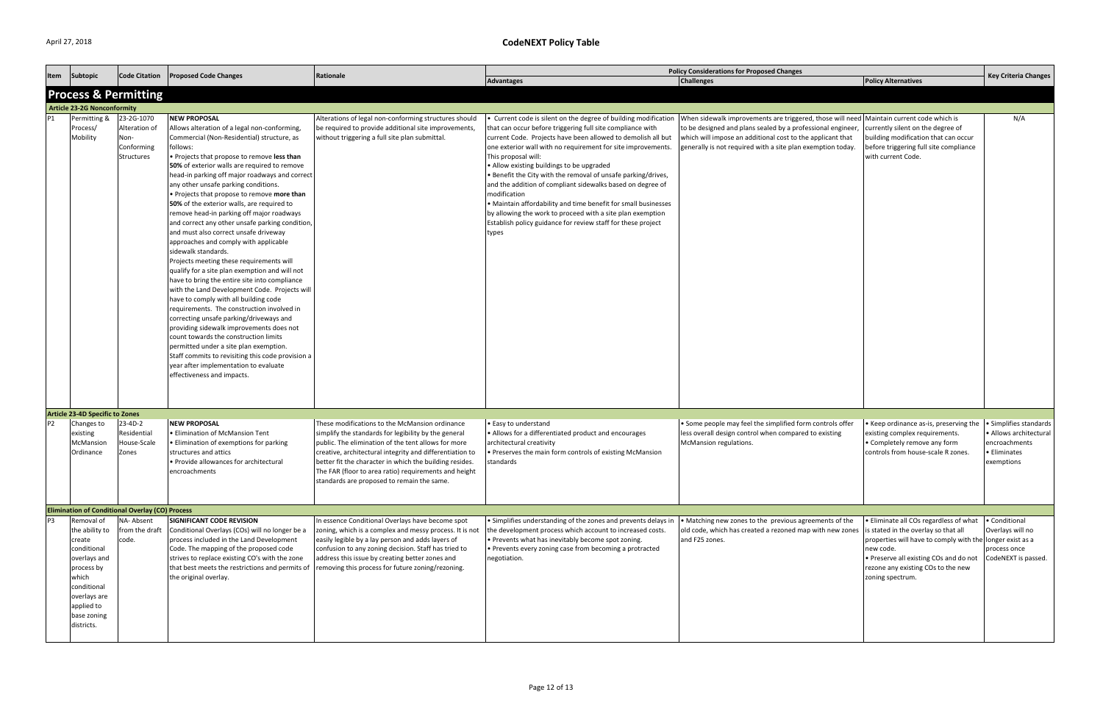|                                    | Subtopic                                                                                                                                                               | <b>Code Citation</b>                                            | <b>Proposed Code Changes</b>                                                                                                                                                                                                                                                                                                                                                                                                                                                                                                                                                                                                                                                                                                                                                                                                                                                                                                                                                                                                                                                                                                                                                                                            | Rationale                                                                                                                                                                                                                                                                                                                                                                                   | <b>Policy Considerations for Proposed Changes</b>                                                                                                                                                                                                                                                                                                                                                                                                                                                                                                                                                                      |                                                                                                                                                                                                                                                                                                                                                      |                                                                                                                                                                                                                      |                                                                                          |
|------------------------------------|------------------------------------------------------------------------------------------------------------------------------------------------------------------------|-----------------------------------------------------------------|-------------------------------------------------------------------------------------------------------------------------------------------------------------------------------------------------------------------------------------------------------------------------------------------------------------------------------------------------------------------------------------------------------------------------------------------------------------------------------------------------------------------------------------------------------------------------------------------------------------------------------------------------------------------------------------------------------------------------------------------------------------------------------------------------------------------------------------------------------------------------------------------------------------------------------------------------------------------------------------------------------------------------------------------------------------------------------------------------------------------------------------------------------------------------------------------------------------------------|---------------------------------------------------------------------------------------------------------------------------------------------------------------------------------------------------------------------------------------------------------------------------------------------------------------------------------------------------------------------------------------------|------------------------------------------------------------------------------------------------------------------------------------------------------------------------------------------------------------------------------------------------------------------------------------------------------------------------------------------------------------------------------------------------------------------------------------------------------------------------------------------------------------------------------------------------------------------------------------------------------------------------|------------------------------------------------------------------------------------------------------------------------------------------------------------------------------------------------------------------------------------------------------------------------------------------------------------------------------------------------------|----------------------------------------------------------------------------------------------------------------------------------------------------------------------------------------------------------------------|------------------------------------------------------------------------------------------|
| Item                               |                                                                                                                                                                        |                                                                 |                                                                                                                                                                                                                                                                                                                                                                                                                                                                                                                                                                                                                                                                                                                                                                                                                                                                                                                                                                                                                                                                                                                                                                                                                         |                                                                                                                                                                                                                                                                                                                                                                                             | Advantages                                                                                                                                                                                                                                                                                                                                                                                                                                                                                                                                                                                                             | <b>Challenges</b>                                                                                                                                                                                                                                                                                                                                    | <b>Policy Alternatives</b>                                                                                                                                                                                           | <b>Key Criteria Changes</b>                                                              |
|                                    |                                                                                                                                                                        | <b>Process &amp; Permitting</b>                                 |                                                                                                                                                                                                                                                                                                                                                                                                                                                                                                                                                                                                                                                                                                                                                                                                                                                                                                                                                                                                                                                                                                                                                                                                                         |                                                                                                                                                                                                                                                                                                                                                                                             |                                                                                                                                                                                                                                                                                                                                                                                                                                                                                                                                                                                                                        |                                                                                                                                                                                                                                                                                                                                                      |                                                                                                                                                                                                                      |                                                                                          |
| <b>Article 23-2G Nonconformity</b> |                                                                                                                                                                        |                                                                 |                                                                                                                                                                                                                                                                                                                                                                                                                                                                                                                                                                                                                                                                                                                                                                                                                                                                                                                                                                                                                                                                                                                                                                                                                         |                                                                                                                                                                                                                                                                                                                                                                                             |                                                                                                                                                                                                                                                                                                                                                                                                                                                                                                                                                                                                                        |                                                                                                                                                                                                                                                                                                                                                      |                                                                                                                                                                                                                      |                                                                                          |
| P1                                 | Permitting &<br>Process/<br>Mobility                                                                                                                                   | 23-2G-1070<br>Alteration of<br>Non-<br>Conforming<br>Structures | <b>NEW PROPOSAL</b><br>Allows alteration of a legal non-conforming,<br>Commercial (Non-Residential) structure, as<br>follows:<br>Projects that propose to remove less than<br>50% of exterior walls are required to remove<br>head-in parking off major roadways and correct<br>any other unsafe parking conditions.<br>. Projects that propose to remove more than<br>50% of the exterior walls, are required to<br>remove head-in parking off major roadways<br>and correct any other unsafe parking condition,<br>and must also correct unsafe driveway<br>approaches and comply with applicable<br>sidewalk standards.<br>Projects meeting these requirements will<br>qualify for a site plan exemption and will not<br>have to bring the entire site into compliance<br>with the Land Development Code. Projects will<br>have to comply with all building code<br>requirements. The construction involved in<br>correcting unsafe parking/driveways and<br>providing sidewalk improvements does not<br>count towards the construction limits<br>permitted under a site plan exemption.<br>Staff commits to revisiting this code provision a<br>year after implementation to evaluate<br>effectiveness and impacts. | Alterations of legal non-conforming structures should<br>be required to provide additional site improvements,<br>without triggering a full site plan submittal.                                                                                                                                                                                                                             | that can occur before triggering full site compliance with<br>current Code. Projects have been allowed to demolish all but<br>one exterior wall with no requirement for site improvements.<br>This proposal will:<br>• Allow existing buildings to be upgraded<br>. Benefit the City with the removal of unsafe parking/drives,<br>and the addition of compliant sidewalks based on degree of<br>modification<br>• Maintain affordability and time benefit for small businesses<br>by allowing the work to proceed with a site plan exemption<br>Establish policy guidance for review staff for these project<br>types | Current code is silent on the degree of building modification  When sidewalk improvements are triggered, those will need  Maintain current code which is<br>to be designed and plans sealed by a professional engineer,<br>which will impose an additional cost to the applicant that<br>generally is not required with a site plan exemption today. | currently silent on the degree of<br>building modification that can occur<br>before triggering full site compliance<br>with current Code.                                                                            | N/A                                                                                      |
|                                    | <b>Article 23-4D Specific to Zones</b>                                                                                                                                 |                                                                 |                                                                                                                                                                                                                                                                                                                                                                                                                                                                                                                                                                                                                                                                                                                                                                                                                                                                                                                                                                                                                                                                                                                                                                                                                         |                                                                                                                                                                                                                                                                                                                                                                                             |                                                                                                                                                                                                                                                                                                                                                                                                                                                                                                                                                                                                                        |                                                                                                                                                                                                                                                                                                                                                      |                                                                                                                                                                                                                      |                                                                                          |
| <b>P2</b>                          | Changes to<br>existing<br>McMansion<br>Ordinance                                                                                                                       | 23-4D-2<br>Residential<br>House-Scale<br>Zones                  | <b>NEW PROPOSAL</b><br><b>• Elimination of McMansion Tent</b><br>· Elimination of exemptions for parking<br>structures and attics<br>• Provide allowances for architectural<br>encroachments                                                                                                                                                                                                                                                                                                                                                                                                                                                                                                                                                                                                                                                                                                                                                                                                                                                                                                                                                                                                                            | These modifications to the McMansion ordinance<br>simplify the standards for legibility by the general<br>public. The elimination of the tent allows for more<br>creative, architectural integrity and differentiation to<br>better fit the character in which the building resides.<br>The FAR (floor to area ratio) requirements and height<br>standards are proposed to remain the same. | • Easy to understand<br>• Allows for a differentiated product and encourages<br>architectural creativity<br>• Preserves the main form controls of existing McMansion<br>standards                                                                                                                                                                                                                                                                                                                                                                                                                                      | • Some people may feel the simplified form controls offer<br>less overall design control when compared to existing<br>McMansion regulations.                                                                                                                                                                                                         | Keep ordinance as-is, preserving the<br>existing complex requirements.<br>• Completely remove any form<br>controls from house-scale R zones.                                                                         | Simplifies standards<br>Allows architectura<br>encroachments<br>Eliminates<br>exemptions |
|                                    |                                                                                                                                                                        | <b>Elimination of Conditional Overlay (CO) Process</b>          |                                                                                                                                                                                                                                                                                                                                                                                                                                                                                                                                                                                                                                                                                                                                                                                                                                                                                                                                                                                                                                                                                                                                                                                                                         |                                                                                                                                                                                                                                                                                                                                                                                             |                                                                                                                                                                                                                                                                                                                                                                                                                                                                                                                                                                                                                        |                                                                                                                                                                                                                                                                                                                                                      |                                                                                                                                                                                                                      |                                                                                          |
| P <sub>3</sub>                     | Removal of<br>the ability to<br>create<br>conditional<br>overlays and<br>process by<br>which<br>conditional<br>overlays are<br>applied to<br>base zoning<br>districts. | NA- Absent<br>from the draft<br>code.                           | SIGNIFICANT CODE REVISION<br>Conditional Overlays (COs) will no longer be a<br>process included in the Land Development<br>Code. The mapping of the proposed code<br>strives to replace existing CO's with the zone<br>that best meets the restrictions and permits of<br>the original overlay.                                                                                                                                                                                                                                                                                                                                                                                                                                                                                                                                                                                                                                                                                                                                                                                                                                                                                                                         | In essence Conditional Overlays have become spot<br>zoning, which is a complex and messy process. It is not<br>easily legible by a lay person and adds layers of<br>confusion to any zoning decision. Staff has tried to<br>address this issue by creating better zones and<br>removing this process for future zoning/rezoning.                                                            | • Simplifies understanding of the zones and prevents delays in<br>the development process which account to increased costs.<br>. Prevents what has inevitably become spot zoning.<br>• Prevents every zoning case from becoming a protracted<br>negotiation.                                                                                                                                                                                                                                                                                                                                                           | • Matching new zones to the previous agreements of the<br>old code, which has created a rezoned map with new zones is stated in the overlay so that all<br>and F25 zones.                                                                                                                                                                            | · Eliminate all COs regardless of what<br>properties will have to comply with the longer exist as a<br>new code.<br>• Preserve all existing COs and do not<br>rezone any existing COs to the new<br>zoning spectrum. | • Conditional<br>Overlays will no<br>process once<br>CodeNEXT is passed.                 |

|                                                                              | <b>Key Criteria Changes</b>                                                                                                                                                                                                                |                                                                                                 |  |
|------------------------------------------------------------------------------|--------------------------------------------------------------------------------------------------------------------------------------------------------------------------------------------------------------------------------------------|-------------------------------------------------------------------------------------------------|--|
|                                                                              | <b>Policy Alternatives</b>                                                                                                                                                                                                                 |                                                                                                 |  |
|                                                                              |                                                                                                                                                                                                                                            |                                                                                                 |  |
| I, those will need  <br>sional engineer,<br>applicant that<br>emption today. | Maintain current code which is<br>currently silent on the degree of<br>building modification that can occur<br>before triggering full site compliance<br>with current Code.                                                                | N/A                                                                                             |  |
| controls offer<br>to existing                                                | • Keep ordinance as-is, preserving the<br>existing complex requirements.<br>• Completely remove any form<br>controls from house-scale R zones.                                                                                             | · Simplifies standards<br>• Allows architectural<br>encroachments<br>• Eliminates<br>exemptions |  |
|                                                                              |                                                                                                                                                                                                                                            |                                                                                                 |  |
| ements of the<br>with new zones                                              | • Eliminate all COs regardless of what<br>is stated in the overlay so that all<br>properties will have to comply with the<br>new code.<br>• Preserve all existing COs and do not<br>rezone any existing COs to the new<br>zoning spectrum. | • Conditional<br>Overlays will no<br>longer exist as a<br>process once<br>CodeNEXT is passed.   |  |